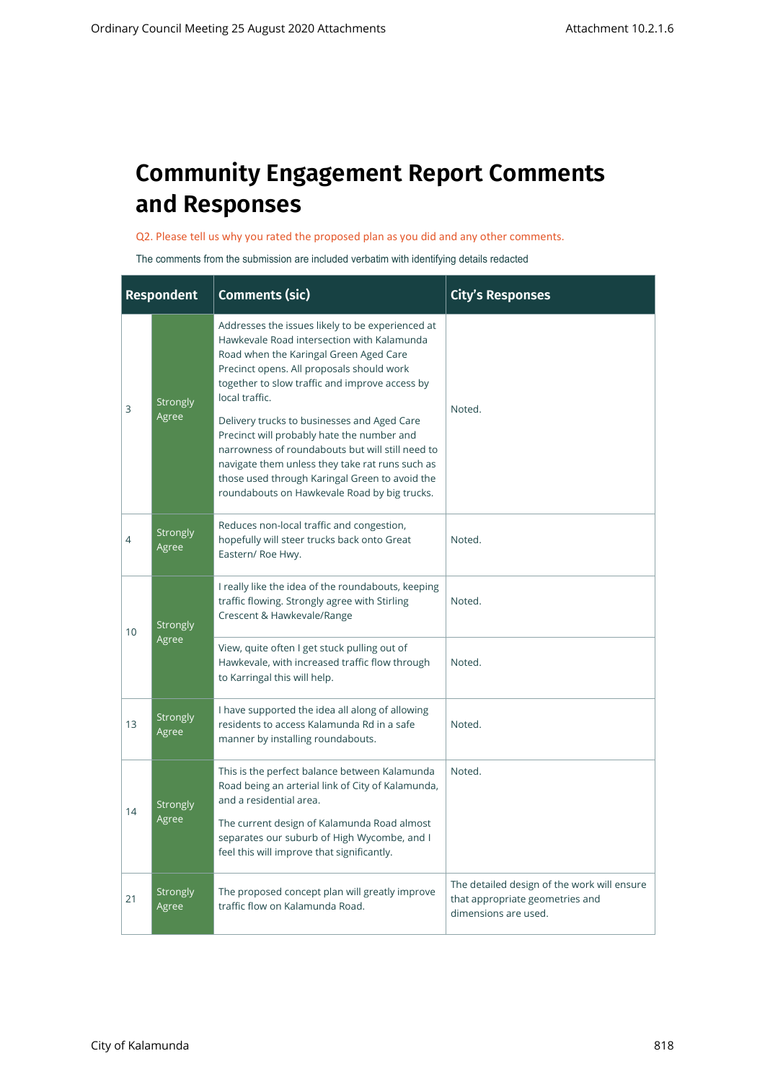## **Community Engagement Report Comments and Responses**

Q2. Please tell us why you rated the proposed plan as you did and any other comments.

The comments from the submission are included verbatim with identifying details redacted

|                | <b>Respondent</b>                                                                                                                                                                                                                                                                                                                                                                                                                                                                                                                                                                                                                                                                                            | <b>Comments (sic)</b>                                                                                                                    | <b>City's Responses</b>                                                                                |
|----------------|--------------------------------------------------------------------------------------------------------------------------------------------------------------------------------------------------------------------------------------------------------------------------------------------------------------------------------------------------------------------------------------------------------------------------------------------------------------------------------------------------------------------------------------------------------------------------------------------------------------------------------------------------------------------------------------------------------------|------------------------------------------------------------------------------------------------------------------------------------------|--------------------------------------------------------------------------------------------------------|
| 3              | Addresses the issues likely to be experienced at<br>Hawkevale Road intersection with Kalamunda<br>Road when the Karingal Green Aged Care<br>Precinct opens. All proposals should work<br>together to slow traffic and improve access by<br>local traffic.<br>Strongly<br>Agree<br>Delivery trucks to businesses and Aged Care<br>Precinct will probably hate the number and<br>narrowness of roundabouts but will still need to<br>navigate them unless they take rat runs such as<br>those used through Karingal Green to avoid the<br>roundabouts on Hawkevale Road by big trucks.<br>Reduces non-local traffic and congestion,<br><b>Strongly</b><br>hopefully will steer trucks back onto Great<br>Agree |                                                                                                                                          | Noted.                                                                                                 |
| 4              | Eastern/ Roe Hwy.                                                                                                                                                                                                                                                                                                                                                                                                                                                                                                                                                                                                                                                                                            |                                                                                                                                          | Noted.                                                                                                 |
| 10             | <b>Strongly</b>                                                                                                                                                                                                                                                                                                                                                                                                                                                                                                                                                                                                                                                                                              | I really like the idea of the roundabouts, keeping<br>traffic flowing. Strongly agree with Stirling<br>Crescent & Hawkevale/Range        | Noted.                                                                                                 |
| 13<br>14<br>21 | Agree                                                                                                                                                                                                                                                                                                                                                                                                                                                                                                                                                                                                                                                                                                        | View, quite often I get stuck pulling out of<br>Hawkevale, with increased traffic flow through<br>to Karringal this will help.           | Noted.                                                                                                 |
|                | I have supported the idea all along of allowing<br><b>Strongly</b><br>residents to access Kalamunda Rd in a safe<br>Agree<br>manner by installing roundabouts.                                                                                                                                                                                                                                                                                                                                                                                                                                                                                                                                               |                                                                                                                                          | Noted.                                                                                                 |
|                | <b>Strongly</b>                                                                                                                                                                                                                                                                                                                                                                                                                                                                                                                                                                                                                                                                                              | This is the perfect balance between Kalamunda<br>Road being an arterial link of City of Kalamunda,<br>and a residential area.            | Noted.                                                                                                 |
|                | Agree                                                                                                                                                                                                                                                                                                                                                                                                                                                                                                                                                                                                                                                                                                        | The current design of Kalamunda Road almost<br>separates our suburb of High Wycombe, and I<br>feel this will improve that significantly. |                                                                                                        |
|                | <b>Strongly</b><br>Agree                                                                                                                                                                                                                                                                                                                                                                                                                                                                                                                                                                                                                                                                                     | The proposed concept plan will greatly improve<br>traffic flow on Kalamunda Road.                                                        | The detailed design of the work will ensure<br>that appropriate geometries and<br>dimensions are used. |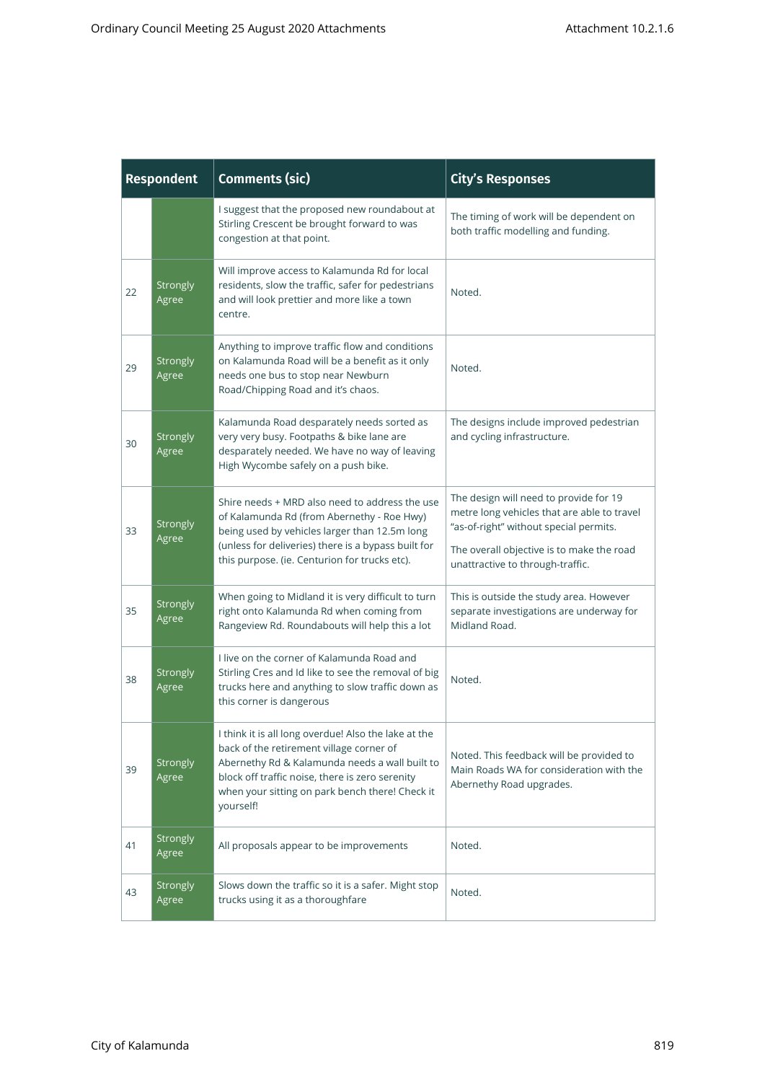| <b>Respondent</b>                                                                                                                                                                                                                                                                                |                                                                                                                                                                                                        | <b>Comments (sic)</b>                                                                                                                                                                                                                                 | <b>City's Responses</b>                                                                                                                                                                                          |
|--------------------------------------------------------------------------------------------------------------------------------------------------------------------------------------------------------------------------------------------------------------------------------------------------|--------------------------------------------------------------------------------------------------------------------------------------------------------------------------------------------------------|-------------------------------------------------------------------------------------------------------------------------------------------------------------------------------------------------------------------------------------------------------|------------------------------------------------------------------------------------------------------------------------------------------------------------------------------------------------------------------|
|                                                                                                                                                                                                                                                                                                  | I suggest that the proposed new roundabout at<br>Stirling Crescent be brought forward to was<br>congestion at that point.                                                                              |                                                                                                                                                                                                                                                       | The timing of work will be dependent on<br>both traffic modelling and funding.                                                                                                                                   |
| 22                                                                                                                                                                                                                                                                                               | Strongly<br>Agree                                                                                                                                                                                      | Will improve access to Kalamunda Rd for local<br>residents, slow the traffic, safer for pedestrians<br>and will look prettier and more like a town<br>centre.                                                                                         | Noted.                                                                                                                                                                                                           |
| 29                                                                                                                                                                                                                                                                                               | Strongly<br>Agree                                                                                                                                                                                      | Anything to improve traffic flow and conditions<br>on Kalamunda Road will be a benefit as it only<br>needs one bus to stop near Newburn<br>Road/Chipping Road and it's chaos.                                                                         | Noted.                                                                                                                                                                                                           |
| 30                                                                                                                                                                                                                                                                                               | Kalamunda Road desparately needs sorted as<br>very very busy. Footpaths & bike lane are<br>Strongly<br>desparately needed. We have no way of leaving<br>Agree<br>High Wycombe safely on a push bike.   |                                                                                                                                                                                                                                                       | The designs include improved pedestrian<br>and cycling infrastructure.                                                                                                                                           |
| 33                                                                                                                                                                                                                                                                                               | Strongly<br>Agree                                                                                                                                                                                      | Shire needs + MRD also need to address the use<br>of Kalamunda Rd (from Abernethy - Roe Hwy)<br>being used by vehicles larger than 12.5m long<br>(unless for deliveries) there is a bypass built for<br>this purpose. (ie. Centurion for trucks etc). | The design will need to provide for 19<br>metre long vehicles that are able to travel<br>"as-of-right" without special permits.<br>The overall objective is to make the road<br>unattractive to through-traffic. |
| 35                                                                                                                                                                                                                                                                                               | Strongly<br>Agree                                                                                                                                                                                      | When going to Midland it is very difficult to turn<br>right onto Kalamunda Rd when coming from<br>Rangeview Rd. Roundabouts will help this a lot                                                                                                      | This is outside the study area. However<br>separate investigations are underway for<br>Midland Road.                                                                                                             |
| 38                                                                                                                                                                                                                                                                                               | I live on the corner of Kalamunda Road and<br>Strongly<br>Stirling Cres and Id like to see the removal of big<br>trucks here and anything to slow traffic down as<br>Agree<br>this corner is dangerous |                                                                                                                                                                                                                                                       | Noted.                                                                                                                                                                                                           |
| I think it is all long overdue! Also the lake at the<br>back of the retirement village corner of<br>Abernethy Rd & Kalamunda needs a wall built to<br>Strongly<br>39<br>block off traffic noise, there is zero serenity<br>Agree<br>when your sitting on park bench there! Check it<br>yourself! |                                                                                                                                                                                                        | Noted. This feedback will be provided to<br>Main Roads WA for consideration with the<br>Abernethy Road upgrades.                                                                                                                                      |                                                                                                                                                                                                                  |
| 41                                                                                                                                                                                                                                                                                               | Strongly<br>Agree                                                                                                                                                                                      | All proposals appear to be improvements                                                                                                                                                                                                               | Noted.                                                                                                                                                                                                           |
| 43                                                                                                                                                                                                                                                                                               | Strongly<br>Agree                                                                                                                                                                                      | Slows down the traffic so it is a safer. Might stop<br>trucks using it as a thoroughfare                                                                                                                                                              | Noted.                                                                                                                                                                                                           |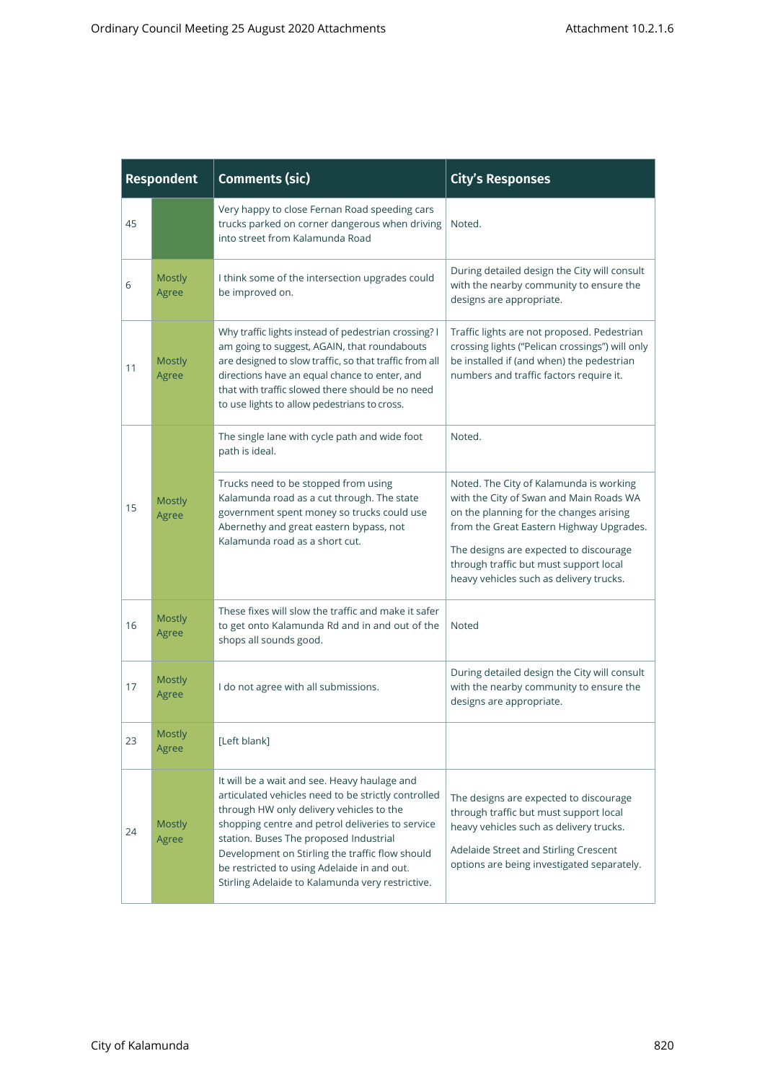| <b>Respondent</b> |                                                                                                                                    | <b>Comments (sic)</b>                                                                                                                                                                                                                                                                                                                                                                               | <b>City's Responses</b>                                                                                                                                                                                                                                                                                  |  |
|-------------------|------------------------------------------------------------------------------------------------------------------------------------|-----------------------------------------------------------------------------------------------------------------------------------------------------------------------------------------------------------------------------------------------------------------------------------------------------------------------------------------------------------------------------------------------------|----------------------------------------------------------------------------------------------------------------------------------------------------------------------------------------------------------------------------------------------------------------------------------------------------------|--|
| 45                | Very happy to close Fernan Road speeding cars<br>trucks parked on corner dangerous when driving<br>into street from Kalamunda Road |                                                                                                                                                                                                                                                                                                                                                                                                     | Noted.                                                                                                                                                                                                                                                                                                   |  |
| 6                 | <b>Mostly</b><br>Agree                                                                                                             | I think some of the intersection upgrades could<br>be improved on.                                                                                                                                                                                                                                                                                                                                  | During detailed design the City will consult<br>with the nearby community to ensure the<br>designs are appropriate.                                                                                                                                                                                      |  |
| 11                | <b>Mostly</b><br>Agree                                                                                                             | Why traffic lights instead of pedestrian crossing? I<br>am going to suggest, AGAIN, that roundabouts<br>are designed to slow traffic, so that traffic from all<br>directions have an equal chance to enter, and<br>that with traffic slowed there should be no need<br>to use lights to allow pedestrians to cross.                                                                                 | Traffic lights are not proposed. Pedestrian<br>crossing lights ("Pelican crossings") will only<br>be installed if (and when) the pedestrian<br>numbers and traffic factors require it.                                                                                                                   |  |
|                   |                                                                                                                                    | The single lane with cycle path and wide foot<br>path is ideal.                                                                                                                                                                                                                                                                                                                                     | Noted.                                                                                                                                                                                                                                                                                                   |  |
| 15                | Mostly<br>Agree                                                                                                                    | Trucks need to be stopped from using<br>Kalamunda road as a cut through. The state<br>government spent money so trucks could use<br>Abernethy and great eastern bypass, not<br>Kalamunda road as a short cut.                                                                                                                                                                                       | Noted. The City of Kalamunda is working<br>with the City of Swan and Main Roads WA<br>on the planning for the changes arising<br>from the Great Eastern Highway Upgrades.<br>The designs are expected to discourage<br>through traffic but must support local<br>heavy vehicles such as delivery trucks. |  |
| 16                | <b>Mostly</b><br>Agree                                                                                                             | These fixes will slow the traffic and make it safer<br>to get onto Kalamunda Rd and in and out of the<br>shops all sounds good.                                                                                                                                                                                                                                                                     | Noted                                                                                                                                                                                                                                                                                                    |  |
| 17                | <b>Mostly</b><br>Agree                                                                                                             | I do not agree with all submissions.                                                                                                                                                                                                                                                                                                                                                                | During detailed design the City will consult<br>with the nearby community to ensure the<br>designs are appropriate.                                                                                                                                                                                      |  |
| 23                | Mostly<br>Agree                                                                                                                    | [Left blank]                                                                                                                                                                                                                                                                                                                                                                                        |                                                                                                                                                                                                                                                                                                          |  |
| 24                | <b>Mostly</b><br>Agree                                                                                                             | It will be a wait and see. Heavy haulage and<br>articulated vehicles need to be strictly controlled<br>through HW only delivery vehicles to the<br>shopping centre and petrol deliveries to service<br>station. Buses The proposed Industrial<br>Development on Stirling the traffic flow should<br>be restricted to using Adelaide in and out.<br>Stirling Adelaide to Kalamunda very restrictive. | The designs are expected to discourage<br>through traffic but must support local<br>heavy vehicles such as delivery trucks.<br>Adelaide Street and Stirling Crescent<br>options are being investigated separately.                                                                                       |  |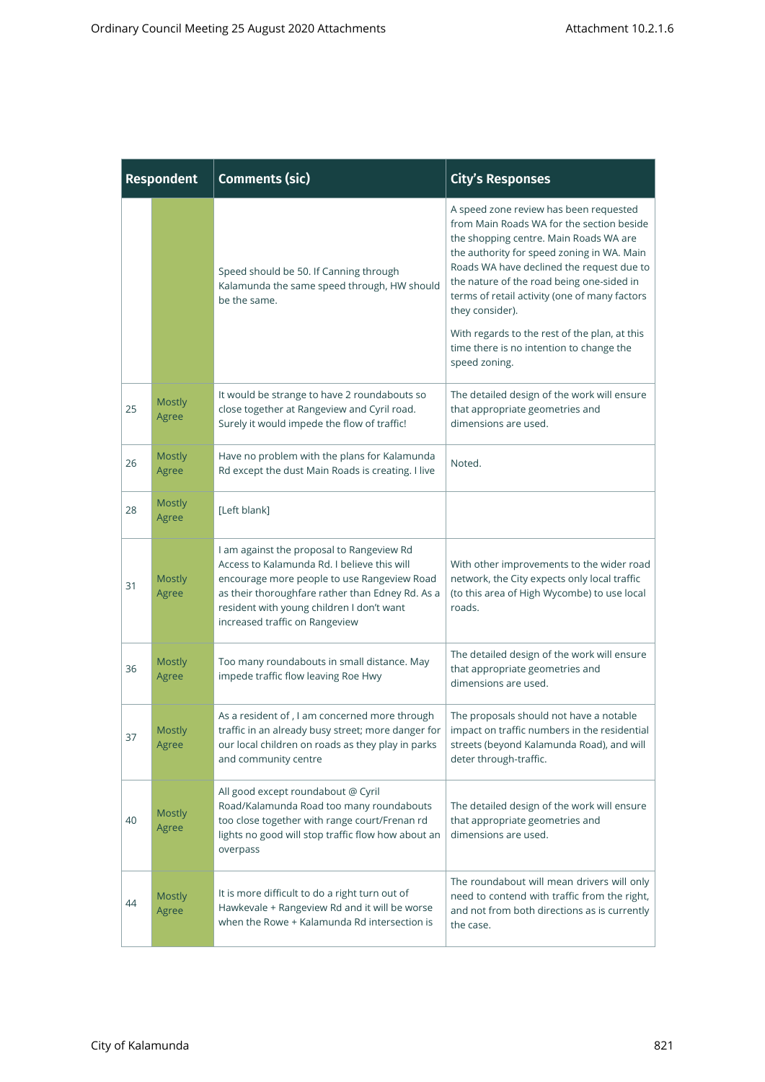| <b>Respondent</b> |                        | <b>Comments (sic)</b>                                                                                                                                                                                                                                                      | <b>City's Responses</b>                                                                                                                                                                                                                                                                                                                                                                                                                                 |
|-------------------|------------------------|----------------------------------------------------------------------------------------------------------------------------------------------------------------------------------------------------------------------------------------------------------------------------|---------------------------------------------------------------------------------------------------------------------------------------------------------------------------------------------------------------------------------------------------------------------------------------------------------------------------------------------------------------------------------------------------------------------------------------------------------|
|                   |                        | Speed should be 50. If Canning through<br>Kalamunda the same speed through, HW should<br>be the same.                                                                                                                                                                      | A speed zone review has been requested<br>from Main Roads WA for the section beside<br>the shopping centre. Main Roads WA are<br>the authority for speed zoning in WA. Main<br>Roads WA have declined the request due to<br>the nature of the road being one-sided in<br>terms of retail activity (one of many factors<br>they consider).<br>With regards to the rest of the plan, at this<br>time there is no intention to change the<br>speed zoning. |
| 25                | <b>Mostly</b><br>Agree | It would be strange to have 2 roundabouts so<br>close together at Rangeview and Cyril road.<br>Surely it would impede the flow of traffic!                                                                                                                                 | The detailed design of the work will ensure<br>that appropriate geometries and<br>dimensions are used.                                                                                                                                                                                                                                                                                                                                                  |
| 26                | <b>Mostly</b><br>Agree | Have no problem with the plans for Kalamunda<br>Rd except the dust Main Roads is creating. I live                                                                                                                                                                          | Noted.                                                                                                                                                                                                                                                                                                                                                                                                                                                  |
| 28                | <b>Mostly</b><br>Agree | [Left blank]                                                                                                                                                                                                                                                               |                                                                                                                                                                                                                                                                                                                                                                                                                                                         |
| 31                | <b>Mostly</b><br>Agree | I am against the proposal to Rangeview Rd<br>Access to Kalamunda Rd. I believe this will<br>encourage more people to use Rangeview Road<br>as their thoroughfare rather than Edney Rd. As a<br>resident with young children I don't want<br>increased traffic on Rangeview | With other improvements to the wider road<br>network, the City expects only local traffic<br>(to this area of High Wycombe) to use local<br>roads.                                                                                                                                                                                                                                                                                                      |
| 36                | <b>Mostly</b><br>Agree | Too many roundabouts in small distance. May<br>impede traffic flow leaving Roe Hwy                                                                                                                                                                                         | The detailed design of the work will ensure<br>that appropriate geometries and<br>dimensions are used.                                                                                                                                                                                                                                                                                                                                                  |
| 37                | <b>Mostly</b><br>Agree | As a resident of, I am concerned more through<br>traffic in an already busy street; more danger for  <br>our local children on roads as they play in parks<br>and community centre                                                                                         | The proposals should not have a notable<br>impact on traffic numbers in the residential<br>streets (beyond Kalamunda Road), and will<br>deter through-traffic.                                                                                                                                                                                                                                                                                          |
| 40                | <b>Mostly</b><br>Agree | All good except roundabout @ Cyril<br>Road/Kalamunda Road too many roundabouts<br>too close together with range court/Frenan rd<br>lights no good will stop traffic flow how about an<br>overpass                                                                          | The detailed design of the work will ensure<br>that appropriate geometries and<br>dimensions are used.                                                                                                                                                                                                                                                                                                                                                  |
| 44                | <b>Mostly</b><br>Agree | It is more difficult to do a right turn out of<br>Hawkevale + Rangeview Rd and it will be worse<br>when the Rowe + Kalamunda Rd intersection is                                                                                                                            | The roundabout will mean drivers will only<br>need to contend with traffic from the right,<br>and not from both directions as is currently<br>the case.                                                                                                                                                                                                                                                                                                 |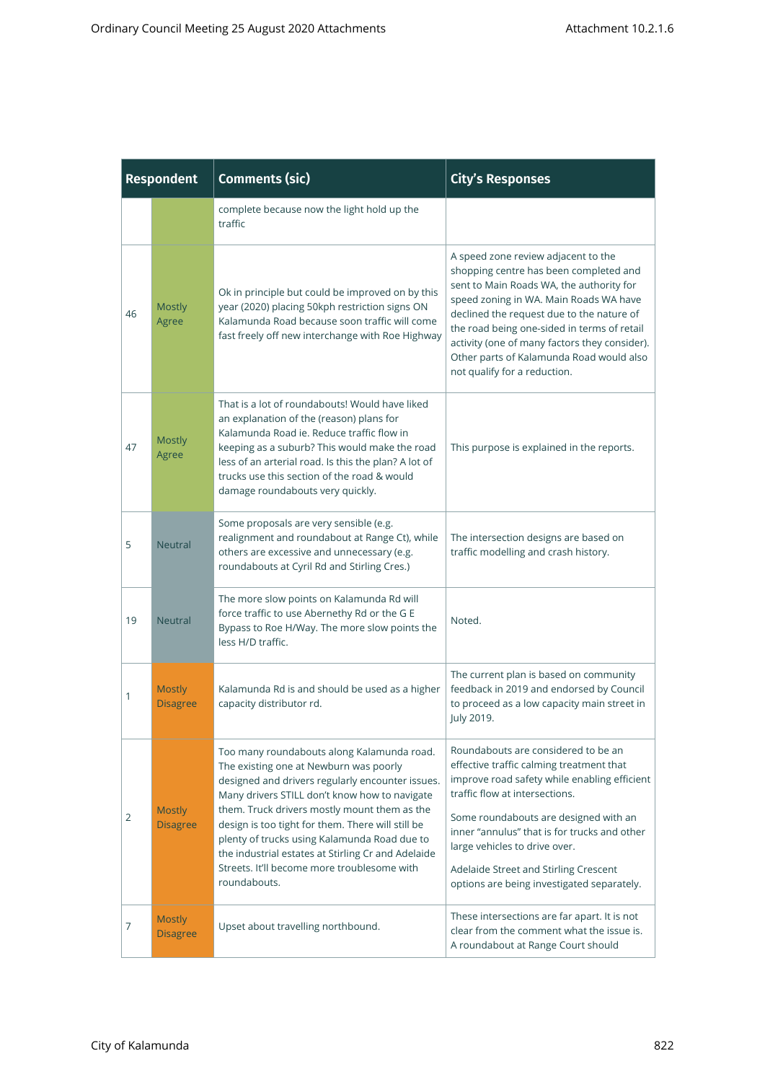|    | <b>Respondent</b>                                                                                              | <b>Comments (sic)</b>                                                                                                                                                                                                                                                                                                                                                                                                                                               | <b>City's Responses</b>                                                                                                                                                                                                                                                                                                                                                                      |
|----|----------------------------------------------------------------------------------------------------------------|---------------------------------------------------------------------------------------------------------------------------------------------------------------------------------------------------------------------------------------------------------------------------------------------------------------------------------------------------------------------------------------------------------------------------------------------------------------------|----------------------------------------------------------------------------------------------------------------------------------------------------------------------------------------------------------------------------------------------------------------------------------------------------------------------------------------------------------------------------------------------|
|    |                                                                                                                | complete because now the light hold up the<br>traffic                                                                                                                                                                                                                                                                                                                                                                                                               |                                                                                                                                                                                                                                                                                                                                                                                              |
| 46 | <b>Mostly</b><br>Agree                                                                                         | Ok in principle but could be improved on by this<br>year (2020) placing 50kph restriction signs ON<br>Kalamunda Road because soon traffic will come<br>fast freely off new interchange with Roe Highway                                                                                                                                                                                                                                                             | A speed zone review adjacent to the<br>shopping centre has been completed and<br>sent to Main Roads WA, the authority for<br>speed zoning in WA. Main Roads WA have<br>declined the request due to the nature of<br>the road being one-sided in terms of retail<br>activity (one of many factors they consider).<br>Other parts of Kalamunda Road would also<br>not qualify for a reduction. |
| 47 | <b>Mostly</b><br>Agree                                                                                         | That is a lot of roundabouts! Would have liked<br>an explanation of the (reason) plans for<br>Kalamunda Road ie. Reduce traffic flow in<br>keeping as a suburb? This would make the road<br>less of an arterial road. Is this the plan? A lot of<br>trucks use this section of the road & would<br>damage roundabouts very quickly.                                                                                                                                 | This purpose is explained in the reports.                                                                                                                                                                                                                                                                                                                                                    |
| 5  | <b>Neutral</b>                                                                                                 | Some proposals are very sensible (e.g.<br>realignment and roundabout at Range Ct), while<br>others are excessive and unnecessary (e.g.<br>roundabouts at Cyril Rd and Stirling Cres.)                                                                                                                                                                                                                                                                               | The intersection designs are based on<br>traffic modelling and crash history.                                                                                                                                                                                                                                                                                                                |
| 19 | <b>Neutral</b>                                                                                                 | The more slow points on Kalamunda Rd will<br>force traffic to use Abernethy Rd or the G E<br>Bypass to Roe H/Way. The more slow points the<br>less H/D traffic.                                                                                                                                                                                                                                                                                                     | Noted.                                                                                                                                                                                                                                                                                                                                                                                       |
| 1  | Kalamunda Rd is and should be used as a higher<br><b>Mostly</b><br>capacity distributor rd.<br><b>Disagree</b> |                                                                                                                                                                                                                                                                                                                                                                                                                                                                     | The current plan is based on community<br>feedback in 2019 and endorsed by Council<br>to proceed as a low capacity main street in<br>July 2019.                                                                                                                                                                                                                                              |
| 2  | <b>Mostly</b><br><b>Disagree</b>                                                                               | Too many roundabouts along Kalamunda road.<br>The existing one at Newburn was poorly<br>designed and drivers regularly encounter issues.<br>Many drivers STILL don't know how to navigate<br>them. Truck drivers mostly mount them as the<br>design is too tight for them. There will still be<br>plenty of trucks using Kalamunda Road due to<br>the industrial estates at Stirling Cr and Adelaide<br>Streets. It'll become more troublesome with<br>roundabouts. | Roundabouts are considered to be an<br>effective traffic calming treatment that<br>improve road safety while enabling efficient<br>traffic flow at intersections.<br>Some roundabouts are designed with an<br>inner "annulus" that is for trucks and other<br>large vehicles to drive over.<br>Adelaide Street and Stirling Crescent<br>options are being investigated separately.           |
| 7  | <b>Mostly</b><br><b>Disagree</b>                                                                               | Upset about travelling northbound.                                                                                                                                                                                                                                                                                                                                                                                                                                  | These intersections are far apart. It is not<br>clear from the comment what the issue is.<br>A roundabout at Range Court should                                                                                                                                                                                                                                                              |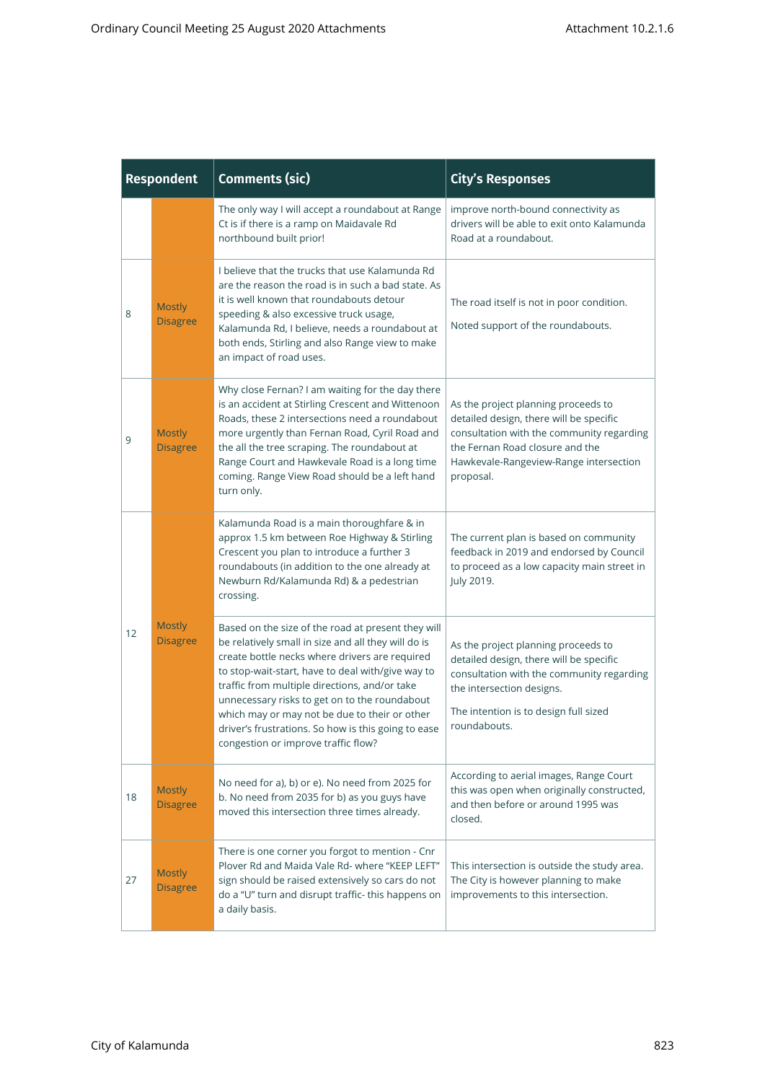|                | <b>Respondent</b>                                                                                                                                                                                                                                                                                                                                                                                                                                                                                                                                                                                                                                                                                                                                                                                                                                                                                                                                                                                                                                                                                                                                                                                                                                                                                                                                                                                                                                                                                                                                                                                                      | <b>Comments (sic)</b>                                                                                                                                                                                                                                                                                                       | <b>City's Responses</b>                                                                                                                                                                                               |
|----------------|------------------------------------------------------------------------------------------------------------------------------------------------------------------------------------------------------------------------------------------------------------------------------------------------------------------------------------------------------------------------------------------------------------------------------------------------------------------------------------------------------------------------------------------------------------------------------------------------------------------------------------------------------------------------------------------------------------------------------------------------------------------------------------------------------------------------------------------------------------------------------------------------------------------------------------------------------------------------------------------------------------------------------------------------------------------------------------------------------------------------------------------------------------------------------------------------------------------------------------------------------------------------------------------------------------------------------------------------------------------------------------------------------------------------------------------------------------------------------------------------------------------------------------------------------------------------------------------------------------------------|-----------------------------------------------------------------------------------------------------------------------------------------------------------------------------------------------------------------------------------------------------------------------------------------------------------------------------|-----------------------------------------------------------------------------------------------------------------------------------------------------------------------------------------------------------------------|
|                |                                                                                                                                                                                                                                                                                                                                                                                                                                                                                                                                                                                                                                                                                                                                                                                                                                                                                                                                                                                                                                                                                                                                                                                                                                                                                                                                                                                                                                                                                                                                                                                                                        | The only way I will accept a roundabout at Range<br>Ct is if there is a ramp on Maidavale Rd<br>northbound built prior!                                                                                                                                                                                                     | improve north-bound connectivity as<br>drivers will be able to exit onto Kalamunda<br>Road at a roundabout.                                                                                                           |
| 8              | <b>Mostly</b><br><b>Disagree</b>                                                                                                                                                                                                                                                                                                                                                                                                                                                                                                                                                                                                                                                                                                                                                                                                                                                                                                                                                                                                                                                                                                                                                                                                                                                                                                                                                                                                                                                                                                                                                                                       | I believe that the trucks that use Kalamunda Rd<br>are the reason the road is in such a bad state. As<br>it is well known that roundabouts detour<br>speeding & also excessive truck usage,<br>Kalamunda Rd, I believe, needs a roundabout at<br>both ends, Stirling and also Range view to make<br>an impact of road uses. | The road itself is not in poor condition.<br>Noted support of the roundabouts.                                                                                                                                        |
| 9              | Why close Fernan? I am waiting for the day there<br>is an accident at Stirling Crescent and Wittenoon<br>Roads, these 2 intersections need a roundabout<br>more urgently than Fernan Road, Cyril Road and<br><b>Mostly</b><br>the all the tree scraping. The roundabout at<br><b>Disagree</b><br>Range Court and Hawkevale Road is a long time<br>coming. Range View Road should be a left hand<br>turn only.<br>Kalamunda Road is a main thoroughfare & in<br>approx 1.5 km between Roe Highway & Stirling<br>Crescent you plan to introduce a further 3<br>roundabouts (in addition to the one already at<br>Newburn Rd/Kalamunda Rd) & a pedestrian<br>crossing.<br><b>Mostly</b><br>Based on the size of the road at present they will<br><b>Disagree</b><br>be relatively small in size and all they will do is<br>create bottle necks where drivers are required<br>to stop-wait-start, have to deal with/give way to<br>traffic from multiple directions, and/or take<br>unnecessary risks to get on to the roundabout<br>which may or may not be due to their or other<br>driver's frustrations. So how is this going to ease<br>congestion or improve traffic flow?<br>No need for a), b) or e). No need from 2025 for<br><b>Mostly</b><br>b. No need from 2035 for b) as you guys have<br><b>Disagree</b><br>moved this intersection three times already.<br>There is one corner you forgot to mention - Cnr<br>Plover Rd and Maida Vale Rd- where "KEEP LEFT"<br><b>Mostly</b><br>sign should be raised extensively so cars do not<br><b>Disagree</b><br>do a "U" turn and disrupt traffic- this happens on |                                                                                                                                                                                                                                                                                                                             | As the project planning proceeds to<br>detailed design, there will be specific<br>consultation with the community regarding<br>the Fernan Road closure and the<br>Hawkevale-Rangeview-Range intersection<br>proposal. |
|                |                                                                                                                                                                                                                                                                                                                                                                                                                                                                                                                                                                                                                                                                                                                                                                                                                                                                                                                                                                                                                                                                                                                                                                                                                                                                                                                                                                                                                                                                                                                                                                                                                        |                                                                                                                                                                                                                                                                                                                             | The current plan is based on community<br>feedback in 2019 and endorsed by Council<br>to proceed as a low capacity main street in<br>July 2019.                                                                       |
| 12<br>18<br>27 |                                                                                                                                                                                                                                                                                                                                                                                                                                                                                                                                                                                                                                                                                                                                                                                                                                                                                                                                                                                                                                                                                                                                                                                                                                                                                                                                                                                                                                                                                                                                                                                                                        |                                                                                                                                                                                                                                                                                                                             | As the project planning proceeds to<br>detailed design, there will be specific<br>consultation with the community regarding<br>the intersection designs.<br>The intention is to design full sized<br>roundabouts.     |
|                |                                                                                                                                                                                                                                                                                                                                                                                                                                                                                                                                                                                                                                                                                                                                                                                                                                                                                                                                                                                                                                                                                                                                                                                                                                                                                                                                                                                                                                                                                                                                                                                                                        |                                                                                                                                                                                                                                                                                                                             | According to aerial images, Range Court<br>this was open when originally constructed,<br>and then before or around 1995 was<br>closed.                                                                                |
|                |                                                                                                                                                                                                                                                                                                                                                                                                                                                                                                                                                                                                                                                                                                                                                                                                                                                                                                                                                                                                                                                                                                                                                                                                                                                                                                                                                                                                                                                                                                                                                                                                                        | a daily basis.                                                                                                                                                                                                                                                                                                              | This intersection is outside the study area.<br>The City is however planning to make<br>improvements to this intersection.                                                                                            |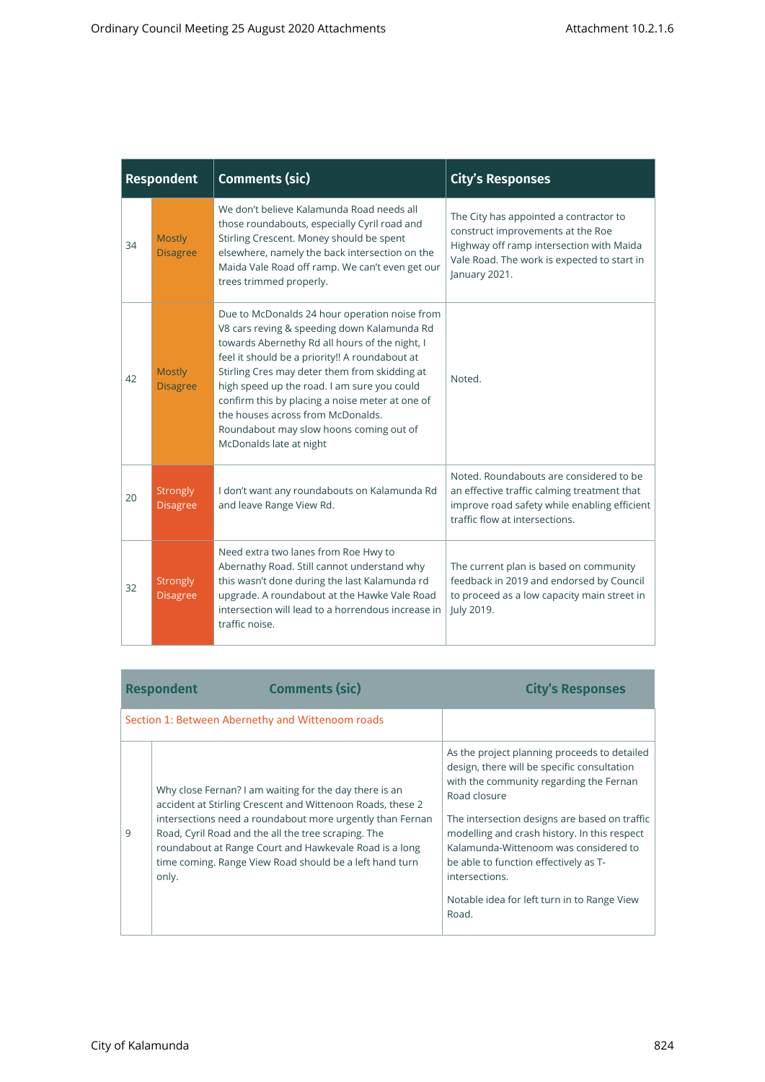- 1

| <b>Respondent</b> |                                                                                                                                                                                                                                                                                                                                                                                                                                                                                                          |                                    | Comments (sic)                                                                                                                                                                                                                                                        | <b>City's Responses</b>                                                                                                                                                                 |  |
|-------------------|----------------------------------------------------------------------------------------------------------------------------------------------------------------------------------------------------------------------------------------------------------------------------------------------------------------------------------------------------------------------------------------------------------------------------------------------------------------------------------------------------------|------------------------------------|-----------------------------------------------------------------------------------------------------------------------------------------------------------------------------------------------------------------------------------------------------------------------|-----------------------------------------------------------------------------------------------------------------------------------------------------------------------------------------|--|
| 34                |                                                                                                                                                                                                                                                                                                                                                                                                                                                                                                          | <b>Mostly</b><br><b>Disagree</b>   | We don't believe Kalamunda Road needs all<br>those roundabouts, especially Cyril road and<br>Stirling Crescent. Money should be spent<br>elsewhere, namely the back intersection on the<br>Maida Vale Road off ramp. We can't even get our<br>trees trimmed properly. | The City has appointed a contractor to<br>construct improvements at the Roe<br>Highway off ramp intersection with Maida<br>Vale Road. The work is expected to start in<br>January 2021. |  |
|                   | Due to McDonalds 24 hour operation noise from<br>V8 cars reving & speeding down Kalamunda Rd<br>towards Abernethy Rd all hours of the night, I<br>feel it should be a priority!! A roundabout at<br>Stirling Cres may deter them from skidding at<br><b>Mostly</b><br>42<br>high speed up the road. I am sure you could<br><b>Disagree</b><br>confirm this by placing a noise meter at one of<br>the houses across from McDonalds.<br>Roundabout may slow hoons coming out of<br>McDonalds late at night |                                    |                                                                                                                                                                                                                                                                       | Noted.                                                                                                                                                                                  |  |
|                   | 20                                                                                                                                                                                                                                                                                                                                                                                                                                                                                                       | <b>Strongly</b><br><b>Disagree</b> | I don't want any roundabouts on Kalamunda Rd<br>and leave Range View Rd.                                                                                                                                                                                              | Noted. Roundabouts are considered to be<br>an effective traffic calming treatment that<br>improve road safety while enabling efficient<br>traffic flow at intersections.                |  |
|                   | 32                                                                                                                                                                                                                                                                                                                                                                                                                                                                                                       | Strongly<br><b>Disagree</b>        | Need extra two lanes from Roe Hwy to<br>Abernathy Road. Still cannot understand why<br>this wasn't done during the last Kalamunda rd<br>upgrade. A roundabout at the Hawke Vale Road<br>intersection will lead to a horrendous increase in<br>traffic noise.          | The current plan is based on community<br>feedback in 2019 and endorsed by Council<br>to proceed as a low capacity main street in<br>July 2019.                                         |  |

|   | <b>Comments (sic)</b><br><b>Respondent</b>                                                                                                                                                                                                                                                                                                                             | <b>City's Responses</b>                                                                                                                                                                                                                                                                                                                                                                                             |
|---|------------------------------------------------------------------------------------------------------------------------------------------------------------------------------------------------------------------------------------------------------------------------------------------------------------------------------------------------------------------------|---------------------------------------------------------------------------------------------------------------------------------------------------------------------------------------------------------------------------------------------------------------------------------------------------------------------------------------------------------------------------------------------------------------------|
|   | Section 1: Between Abernethy and Wittenoom roads                                                                                                                                                                                                                                                                                                                       |                                                                                                                                                                                                                                                                                                                                                                                                                     |
| 9 | Why close Fernan? I am waiting for the day there is an<br>accident at Stirling Crescent and Wittenoon Roads, these 2<br>intersections need a roundabout more urgently than Fernan<br>Road, Cyril Road and the all the tree scraping. The<br>roundabout at Range Court and Hawkevale Road is a long<br>time coming. Range View Road should be a left hand turn<br>only. | As the project planning proceeds to detailed<br>design, there will be specific consultation<br>with the community regarding the Fernan<br>Road closure<br>The intersection designs are based on traffic<br>modelling and crash history. In this respect<br>Kalamunda-Wittenoom was considered to<br>be able to function effectively as T-<br>intersections.<br>Notable idea for left turn in to Range View<br>Road. |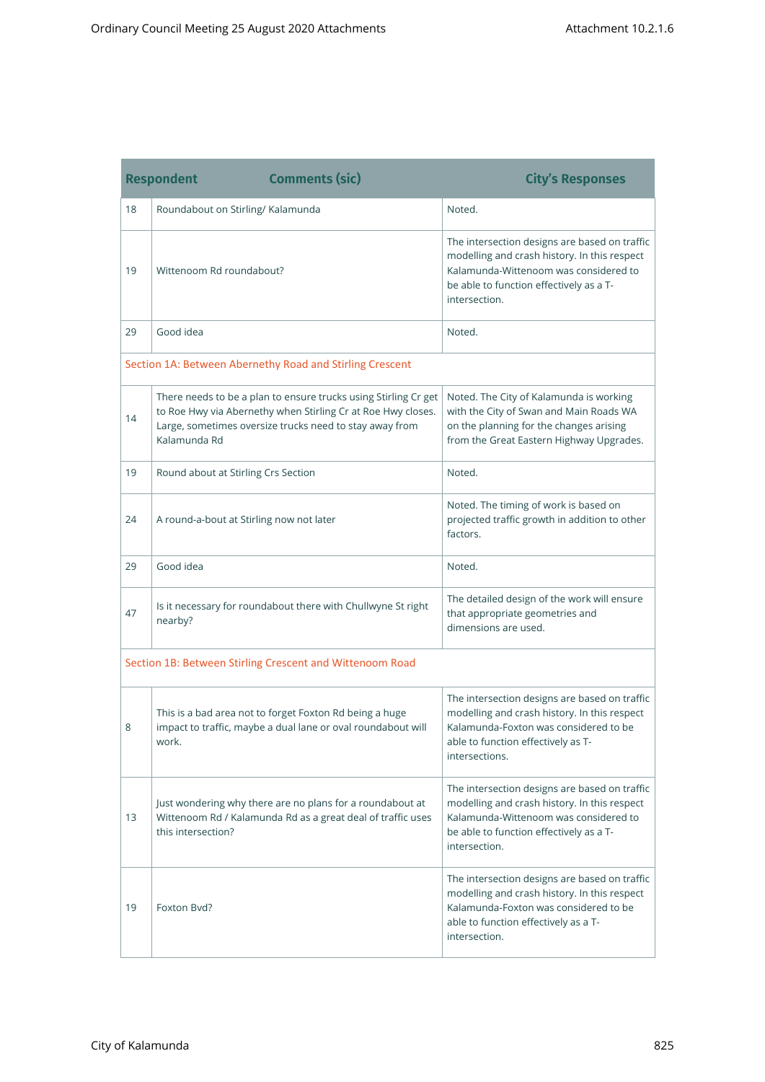and the control of the control of the control of the control of the control of

٠

a sa kacamatan ing Kabupatèn Kabupatèn Kabupatèn Kabupatèn Kabupatèn Kabupatèn Kabupatèn Kabupatèn Kabupatèn K

|                                                          | <b>Comments (sic)</b><br><b>Respondent</b>                                                                                                                                                                 | <b>City's Responses</b>                                                                                                                                                                            |
|----------------------------------------------------------|------------------------------------------------------------------------------------------------------------------------------------------------------------------------------------------------------------|----------------------------------------------------------------------------------------------------------------------------------------------------------------------------------------------------|
| 18                                                       | Roundabout on Stirling/Kalamunda                                                                                                                                                                           | Noted.                                                                                                                                                                                             |
| 19                                                       | Wittenoom Rd roundabout?                                                                                                                                                                                   | The intersection designs are based on traffic<br>modelling and crash history. In this respect<br>Kalamunda-Wittenoom was considered to<br>be able to function effectively as a T-<br>intersection. |
| 29                                                       | Good idea                                                                                                                                                                                                  | Noted.                                                                                                                                                                                             |
|                                                          | Section 1A: Between Abernethy Road and Stirling Crescent                                                                                                                                                   |                                                                                                                                                                                                    |
| 14                                                       | There needs to be a plan to ensure trucks using Stirling Cr get<br>to Roe Hwy via Abernethy when Stirling Cr at Roe Hwy closes.<br>Large, sometimes oversize trucks need to stay away from<br>Kalamunda Rd | Noted. The City of Kalamunda is working<br>with the City of Swan and Main Roads WA<br>on the planning for the changes arising<br>from the Great Eastern Highway Upgrades.                          |
| 19                                                       | Round about at Stirling Crs Section                                                                                                                                                                        | Noted.                                                                                                                                                                                             |
| 24                                                       | A round-a-bout at Stirling now not later                                                                                                                                                                   | Noted. The timing of work is based on<br>projected traffic growth in addition to other<br>factors.                                                                                                 |
| 29                                                       | Good idea                                                                                                                                                                                                  | Noted.                                                                                                                                                                                             |
| 47                                                       | Is it necessary for roundabout there with Chullwyne St right<br>nearby?                                                                                                                                    | The detailed design of the work will ensure<br>that appropriate geometries and<br>dimensions are used.                                                                                             |
| Section 1B: Between Stirling Crescent and Wittenoom Road |                                                                                                                                                                                                            |                                                                                                                                                                                                    |
| 8                                                        | This is a bad area not to forget Foxton Rd being a huge<br>impact to traffic, maybe a dual lane or oval roundabout will<br>work.                                                                           | The intersection designs are based on traffic<br>modelling and crash history. In this respect<br>Kalamunda-Foxton was considered to be<br>able to function effectively as T-<br>intersections.     |
| 13                                                       | Just wondering why there are no plans for a roundabout at<br>Wittenoom Rd / Kalamunda Rd as a great deal of traffic uses<br>this intersection?                                                             | The intersection designs are based on traffic<br>modelling and crash history. In this respect<br>Kalamunda-Wittenoom was considered to<br>be able to function effectively as a T-<br>intersection. |
| 19                                                       | Foxton Byd?                                                                                                                                                                                                | The intersection designs are based on traffic<br>modelling and crash history. In this respect<br>Kalamunda-Foxton was considered to be<br>able to function effectively as a T-<br>intersection.    |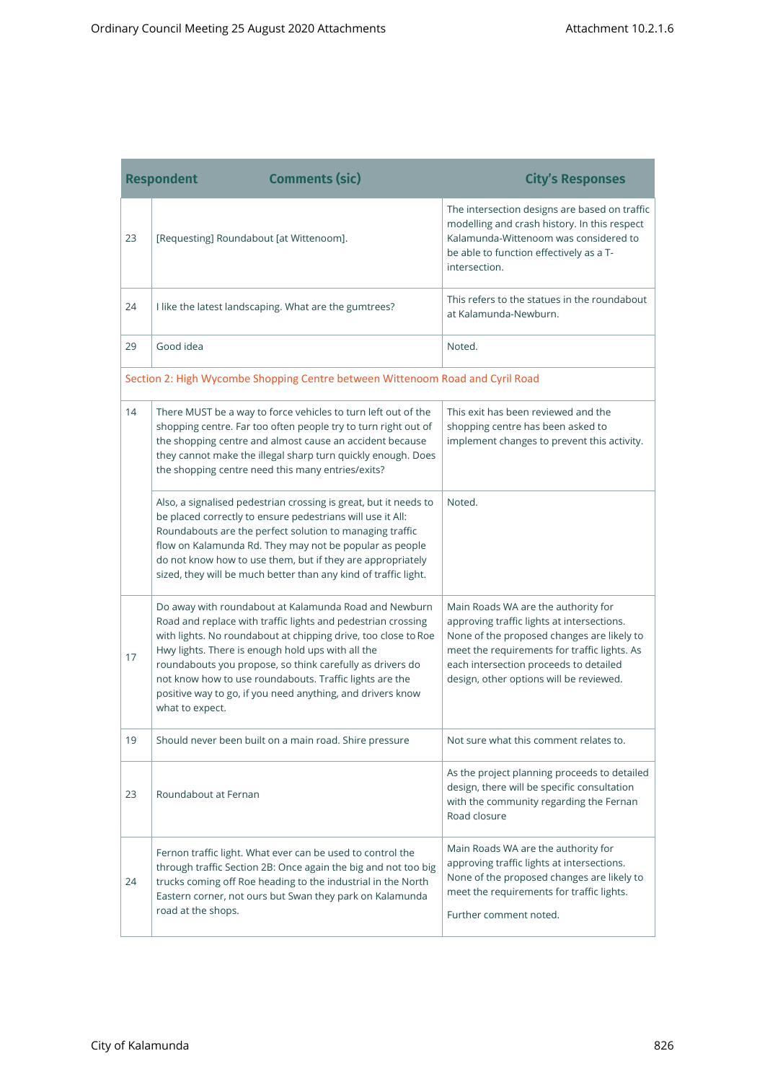and the control of the control of the control of the control of the control of

a sa kacamatan ing Kabupatèn Kabupatèn Kabupatèn Kabupatèn Kabupatèn Kabupatèn Kabupatèn Kabupatèn Kabupatèn K

|    | <b>Comments (sic)</b><br><b>Respondent</b>                                                                                                                                                                                                                                                                                                                                                                                                            | <b>City's Responses</b>                                                                                                                                                                                                                                              |
|----|-------------------------------------------------------------------------------------------------------------------------------------------------------------------------------------------------------------------------------------------------------------------------------------------------------------------------------------------------------------------------------------------------------------------------------------------------------|----------------------------------------------------------------------------------------------------------------------------------------------------------------------------------------------------------------------------------------------------------------------|
| 23 | [Requesting] Roundabout [at Wittenoom].                                                                                                                                                                                                                                                                                                                                                                                                               | The intersection designs are based on traffic<br>modelling and crash history. In this respect<br>Kalamunda-Wittenoom was considered to<br>be able to function effectively as a T-<br>intersection.                                                                   |
| 24 | I like the latest landscaping. What are the gumtrees?                                                                                                                                                                                                                                                                                                                                                                                                 | This refers to the statues in the roundabout<br>at Kalamunda-Newburn.                                                                                                                                                                                                |
| 29 | Good idea                                                                                                                                                                                                                                                                                                                                                                                                                                             | Noted.                                                                                                                                                                                                                                                               |
|    | Section 2: High Wycombe Shopping Centre between Wittenoom Road and Cyril Road                                                                                                                                                                                                                                                                                                                                                                         |                                                                                                                                                                                                                                                                      |
| 14 | There MUST be a way to force vehicles to turn left out of the<br>shopping centre. Far too often people try to turn right out of<br>the shopping centre and almost cause an accident because<br>they cannot make the illegal sharp turn quickly enough. Does<br>the shopping centre need this many entries/exits?                                                                                                                                      | This exit has been reviewed and the<br>shopping centre has been asked to<br>implement changes to prevent this activity.                                                                                                                                              |
|    | Also, a signalised pedestrian crossing is great, but it needs to<br>be placed correctly to ensure pedestrians will use it All:<br>Roundabouts are the perfect solution to managing traffic<br>flow on Kalamunda Rd. They may not be popular as people<br>do not know how to use them, but if they are appropriately<br>sized, they will be much better than any kind of traffic light.                                                                | Noted.                                                                                                                                                                                                                                                               |
| 17 | Do away with roundabout at Kalamunda Road and Newburn<br>Road and replace with traffic lights and pedestrian crossing<br>with lights. No roundabout at chipping drive, too close to Roe<br>Hwy lights. There is enough hold ups with all the<br>roundabouts you propose, so think carefully as drivers do<br>not know how to use roundabouts. Traffic lights are the<br>positive way to go, if you need anything, and drivers know<br>what to expect. | Main Roads WA are the authority for<br>approving traffic lights at intersections.<br>None of the proposed changes are likely to<br>meet the requirements for traffic lights. As<br>each intersection proceeds to detailed<br>design, other options will be reviewed. |
| 19 | Should never been built on a main road. Shire pressure                                                                                                                                                                                                                                                                                                                                                                                                | Not sure what this comment relates to.                                                                                                                                                                                                                               |
| 23 | Roundabout at Fernan                                                                                                                                                                                                                                                                                                                                                                                                                                  | As the project planning proceeds to detailed<br>design, there will be specific consultation<br>with the community regarding the Fernan<br>Road closure                                                                                                               |
| 24 | Fernon traffic light. What ever can be used to control the<br>through traffic Section 2B: Once again the big and not too big<br>trucks coming off Roe heading to the industrial in the North<br>Eastern corner, not ours but Swan they park on Kalamunda<br>road at the shops.                                                                                                                                                                        | Main Roads WA are the authority for<br>approving traffic lights at intersections.<br>None of the proposed changes are likely to<br>meet the requirements for traffic lights.<br>Further comment noted.                                                               |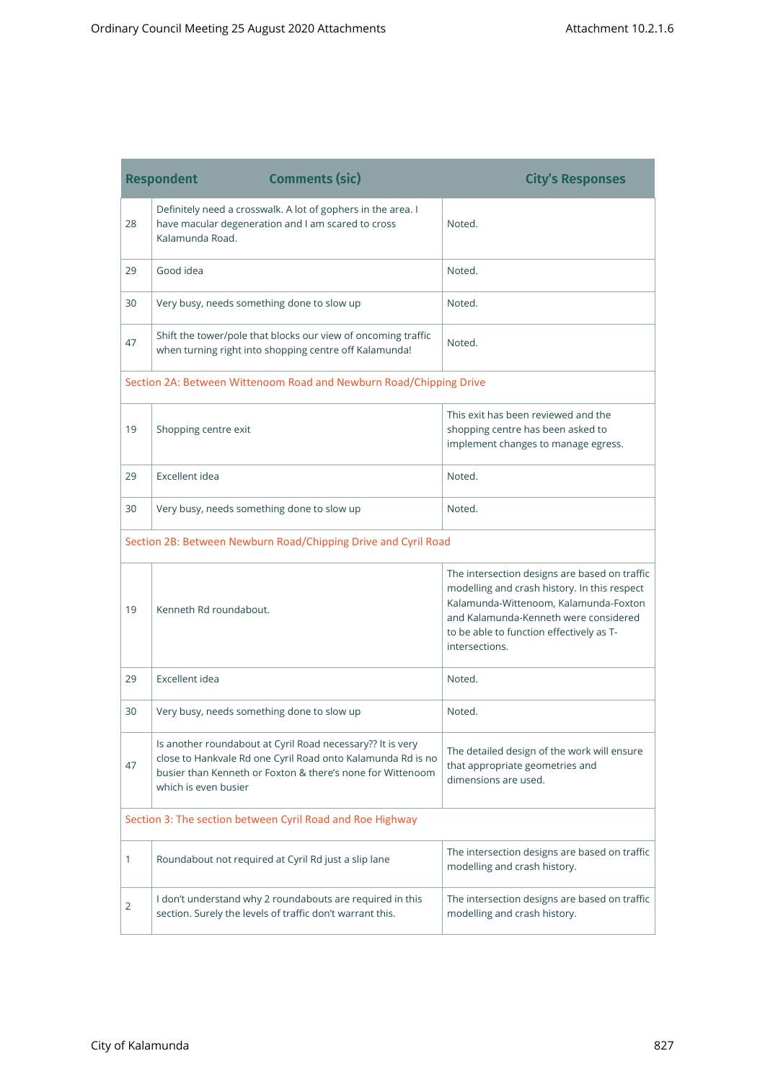the control of the control of the control of

۰

and the control of the control of the control of

|    | <b>Comments (sic)</b><br><b>Respondent</b>                                                                                                                                                                      | <b>City's Responses</b>                                                                                                                                                                                                                       |
|----|-----------------------------------------------------------------------------------------------------------------------------------------------------------------------------------------------------------------|-----------------------------------------------------------------------------------------------------------------------------------------------------------------------------------------------------------------------------------------------|
| 28 | Definitely need a crosswalk. A lot of gophers in the area. I<br>have macular degeneration and I am scared to cross<br>Kalamunda Road.                                                                           | Noted.                                                                                                                                                                                                                                        |
| 29 | Good idea                                                                                                                                                                                                       | Noted.                                                                                                                                                                                                                                        |
| 30 | Very busy, needs something done to slow up                                                                                                                                                                      | Noted.                                                                                                                                                                                                                                        |
| 47 | Shift the tower/pole that blocks our view of oncoming traffic<br>when turning right into shopping centre off Kalamunda!                                                                                         | Noted.                                                                                                                                                                                                                                        |
|    | Section 2A: Between Wittenoom Road and Newburn Road/Chipping Drive                                                                                                                                              |                                                                                                                                                                                                                                               |
| 19 | Shopping centre exit                                                                                                                                                                                            | This exit has been reviewed and the<br>shopping centre has been asked to<br>implement changes to manage egress.                                                                                                                               |
| 29 | Excellent idea                                                                                                                                                                                                  | Noted.                                                                                                                                                                                                                                        |
| 30 | Very busy, needs something done to slow up                                                                                                                                                                      | Noted.                                                                                                                                                                                                                                        |
|    | Section 2B: Between Newburn Road/Chipping Drive and Cyril Road                                                                                                                                                  |                                                                                                                                                                                                                                               |
| 19 | Kenneth Rd roundabout.                                                                                                                                                                                          | The intersection designs are based on traffic<br>modelling and crash history. In this respect<br>Kalamunda-Wittenoom, Kalamunda-Foxton<br>and Kalamunda-Kenneth were considered<br>to be able to function effectively as T-<br>intersections. |
| 29 | Excellent idea                                                                                                                                                                                                  | Noted.                                                                                                                                                                                                                                        |
| 30 | Very busy, needs something done to slow up                                                                                                                                                                      | Noted.                                                                                                                                                                                                                                        |
| 47 | Is another roundabout at Cyril Road necessary?? It is very<br>close to Hankvale Rd one Cyril Road onto Kalamunda Rd is no<br>busier than Kenneth or Foxton & there's none for Wittenoom<br>which is even busier | The detailed design of the work will ensure<br>that appropriate geometries and<br>dimensions are used.                                                                                                                                        |
|    | Section 3: The section between Cyril Road and Roe Highway                                                                                                                                                       |                                                                                                                                                                                                                                               |
| 1  | Roundabout not required at Cyril Rd just a slip lane                                                                                                                                                            | The intersection designs are based on traffic<br>modelling and crash history.                                                                                                                                                                 |
| 2  | I don't understand why 2 roundabouts are required in this<br>section. Surely the levels of traffic don't warrant this.                                                                                          | The intersection designs are based on traffic<br>modelling and crash history.                                                                                                                                                                 |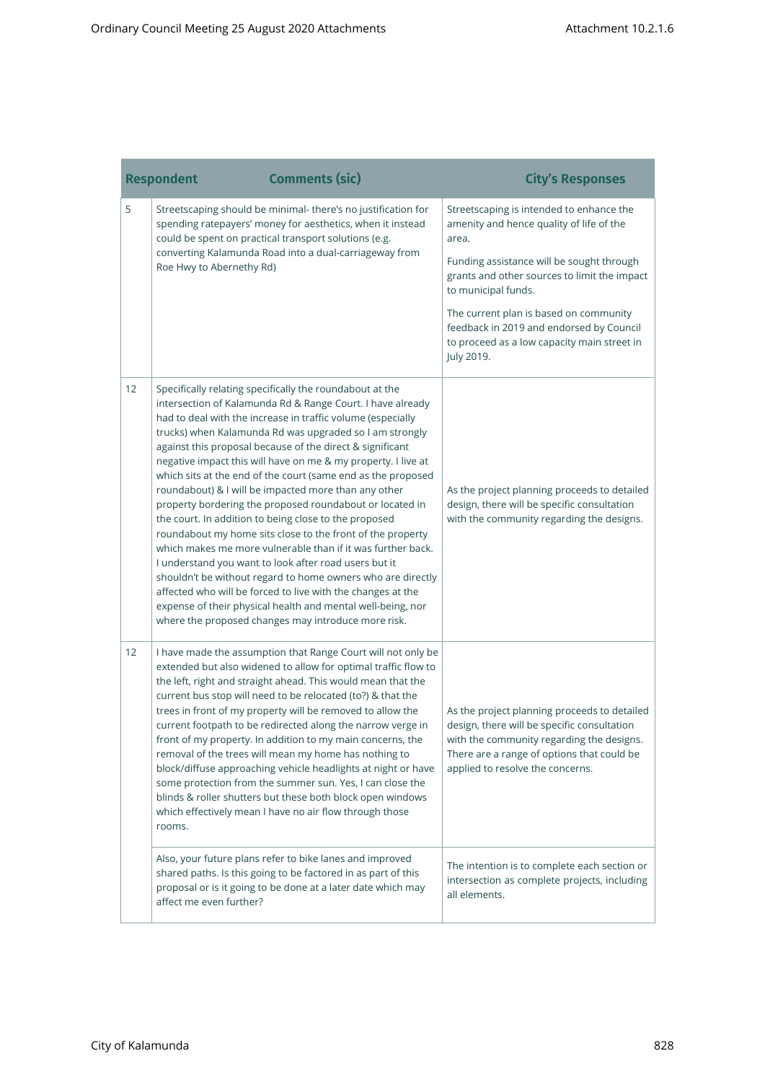|    | <b>Respondent</b>        | <b>Comments (sic)</b>                                                                                                                                                                                                                                                                                                                                                                                                                                                                                                                                                                                                                                                                                                                                                                                                                                                                                                                                                                                                                                                 | <b>City's Responses</b>                                                                                                                                                                                                                                                                                                                                              |
|----|--------------------------|-----------------------------------------------------------------------------------------------------------------------------------------------------------------------------------------------------------------------------------------------------------------------------------------------------------------------------------------------------------------------------------------------------------------------------------------------------------------------------------------------------------------------------------------------------------------------------------------------------------------------------------------------------------------------------------------------------------------------------------------------------------------------------------------------------------------------------------------------------------------------------------------------------------------------------------------------------------------------------------------------------------------------------------------------------------------------|----------------------------------------------------------------------------------------------------------------------------------------------------------------------------------------------------------------------------------------------------------------------------------------------------------------------------------------------------------------------|
| 5  | Roe Hwy to Abernethy Rd) | Streetscaping should be minimal- there's no justification for<br>spending ratepayers' money for aesthetics, when it instead<br>could be spent on practical transport solutions (e.g.<br>converting Kalamunda Road into a dual-carriageway from                                                                                                                                                                                                                                                                                                                                                                                                                                                                                                                                                                                                                                                                                                                                                                                                                        | Streetscaping is intended to enhance the<br>amenity and hence quality of life of the<br>area.<br>Funding assistance will be sought through<br>grants and other sources to limit the impact<br>to municipal funds.<br>The current plan is based on community<br>feedback in 2019 and endorsed by Council<br>to proceed as a low capacity main street in<br>July 2019. |
| 12 |                          | Specifically relating specifically the roundabout at the<br>intersection of Kalamunda Rd & Range Court. I have already<br>had to deal with the increase in traffic volume (especially<br>trucks) when Kalamunda Rd was upgraded so I am strongly<br>against this proposal because of the direct & significant<br>negative impact this will have on me & my property. I live at<br>which sits at the end of the court (same end as the proposed<br>roundabout) & I will be impacted more than any other<br>property bordering the proposed roundabout or located in<br>the court. In addition to being close to the proposed<br>roundabout my home sits close to the front of the property<br>which makes me more vulnerable than if it was further back.<br>I understand you want to look after road users but it<br>shouldn't be without regard to home owners who are directly<br>affected who will be forced to live with the changes at the<br>expense of their physical health and mental well-being, nor<br>where the proposed changes may introduce more risk. | As the project planning proceeds to detailed<br>design, there will be specific consultation<br>with the community regarding the designs.                                                                                                                                                                                                                             |
| 12 | rooms.                   | I have made the assumption that Range Court will not only be<br>extended but also widened to allow for optimal traffic flow to<br>the left, right and straight ahead. This would mean that the<br>current bus stop will need to be relocated (to?) & that the<br>trees in front of my property will be removed to allow the<br>current footpath to be redirected along the narrow verge in<br>front of my property. In addition to my main concerns, the<br>removal of the trees will mean my home has nothing to<br>block/diffuse approaching vehicle headlights at night or have<br>some protection from the summer sun. Yes, I can close the<br>blinds & roller shutters but these both block open windows<br>which effectively mean I have no air flow through those                                                                                                                                                                                                                                                                                              | As the project planning proceeds to detailed<br>design, there will be specific consultation<br>with the community regarding the designs.<br>There are a range of options that could be<br>applied to resolve the concerns.                                                                                                                                           |
|    | affect me even further?  | Also, your future plans refer to bike lanes and improved<br>shared paths. Is this going to be factored in as part of this<br>proposal or is it going to be done at a later date which may                                                                                                                                                                                                                                                                                                                                                                                                                                                                                                                                                                                                                                                                                                                                                                                                                                                                             | The intention is to complete each section or<br>intersection as complete projects, including<br>all elements.                                                                                                                                                                                                                                                        |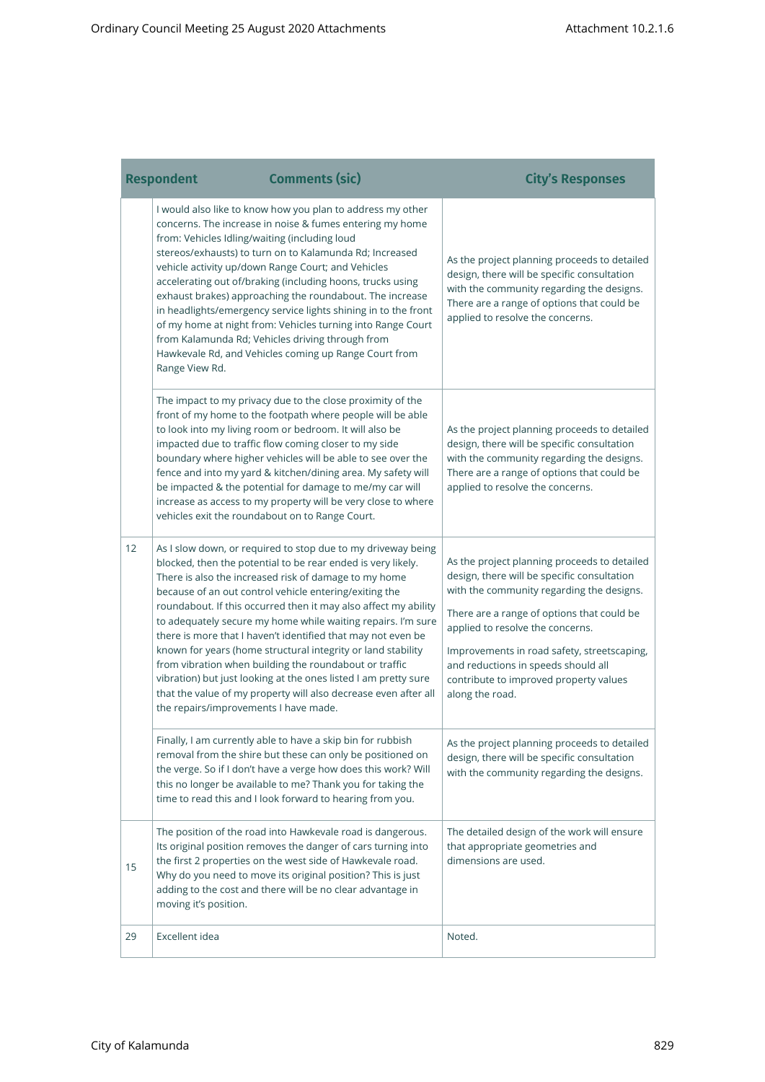and the control of the control of the control of the control of the control of

a sa kacamatan ing Kabupatèn Kabupatèn Kabupatèn Kabupatèn Kabupatèn Kabupatèn Kabupatèn Kabupatèn Kabupatèn K

|    | <b>Respondent</b>                                               | <b>Comments (sic)</b>                                                                                                                                                                                                                                                                                                                                                                                                                                                                                                                                                                                                                                                                                              | <b>City's Responses</b>                                                                                                                                                                                                                                                                                                                                                       |
|----|-----------------------------------------------------------------|--------------------------------------------------------------------------------------------------------------------------------------------------------------------------------------------------------------------------------------------------------------------------------------------------------------------------------------------------------------------------------------------------------------------------------------------------------------------------------------------------------------------------------------------------------------------------------------------------------------------------------------------------------------------------------------------------------------------|-------------------------------------------------------------------------------------------------------------------------------------------------------------------------------------------------------------------------------------------------------------------------------------------------------------------------------------------------------------------------------|
|    | from: Vehicles Idling/waiting (including loud<br>Range View Rd. | I would also like to know how you plan to address my other<br>concerns. The increase in noise & fumes entering my home<br>stereos/exhausts) to turn on to Kalamunda Rd; Increased<br>vehicle activity up/down Range Court; and Vehicles<br>accelerating out of/braking (including hoons, trucks using<br>exhaust brakes) approaching the roundabout. The increase<br>in headlights/emergency service lights shining in to the front<br>of my home at night from: Vehicles turning into Range Court<br>from Kalamunda Rd; Vehicles driving through from<br>Hawkevale Rd, and Vehicles coming up Range Court from                                                                                                    | As the project planning proceeds to detailed<br>design, there will be specific consultation<br>with the community regarding the designs.<br>There are a range of options that could be<br>applied to resolve the concerns.                                                                                                                                                    |
|    |                                                                 | The impact to my privacy due to the close proximity of the<br>front of my home to the footpath where people will be able<br>to look into my living room or bedroom. It will also be<br>impacted due to traffic flow coming closer to my side<br>boundary where higher vehicles will be able to see over the<br>fence and into my yard & kitchen/dining area. My safety will<br>be impacted & the potential for damage to me/my car will<br>increase as access to my property will be very close to where<br>vehicles exit the roundabout on to Range Court.                                                                                                                                                        | As the project planning proceeds to detailed<br>design, there will be specific consultation<br>with the community regarding the designs.<br>There are a range of options that could be<br>applied to resolve the concerns.                                                                                                                                                    |
| 12 | the repairs/improvements I have made.                           | As I slow down, or required to stop due to my driveway being<br>blocked, then the potential to be rear ended is very likely.<br>There is also the increased risk of damage to my home<br>because of an out control vehicle entering/exiting the<br>roundabout. If this occurred then it may also affect my ability<br>to adequately secure my home while waiting repairs. I'm sure<br>there is more that I haven't identified that may not even be<br>known for years (home structural integrity or land stability<br>from vibration when building the roundabout or traffic<br>vibration) but just looking at the ones listed I am pretty sure<br>that the value of my property will also decrease even after all | As the project planning proceeds to detailed<br>design, there will be specific consultation<br>with the community regarding the designs.<br>There are a range of options that could be<br>applied to resolve the concerns.<br>Improvements in road safety, streetscaping,<br>and reductions in speeds should all<br>contribute to improved property values<br>along the road. |
|    |                                                                 | Finally, I am currently able to have a skip bin for rubbish<br>removal from the shire but these can only be positioned on<br>the verge. So if I don't have a verge how does this work? Will<br>this no longer be available to me? Thank you for taking the<br>time to read this and I look forward to hearing from you.                                                                                                                                                                                                                                                                                                                                                                                            | As the project planning proceeds to detailed<br>design, there will be specific consultation<br>with the community regarding the designs.                                                                                                                                                                                                                                      |
| 15 | moving it's position.                                           | The position of the road into Hawkevale road is dangerous.<br>Its original position removes the danger of cars turning into<br>the first 2 properties on the west side of Hawkevale road.<br>Why do you need to move its original position? This is just<br>adding to the cost and there will be no clear advantage in                                                                                                                                                                                                                                                                                                                                                                                             | The detailed design of the work will ensure<br>that appropriate geometries and<br>dimensions are used.                                                                                                                                                                                                                                                                        |
| 29 | Excellent idea                                                  |                                                                                                                                                                                                                                                                                                                                                                                                                                                                                                                                                                                                                                                                                                                    | Noted.                                                                                                                                                                                                                                                                                                                                                                        |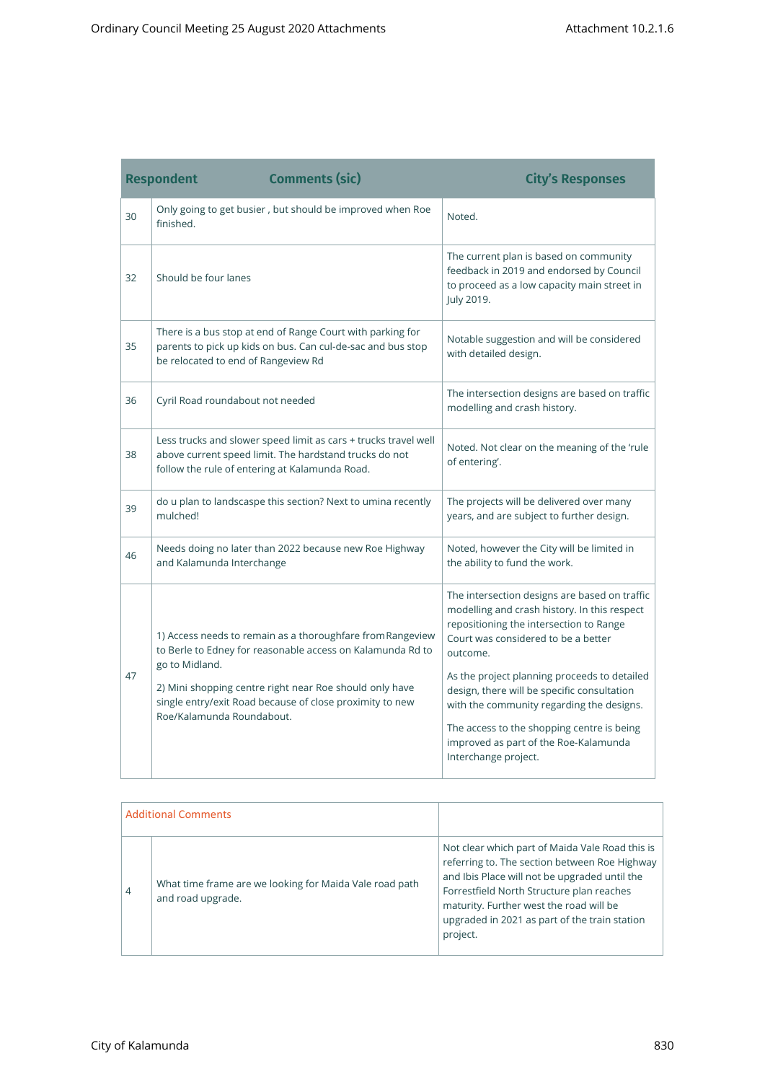|    | <b>Comments (sic)</b><br><b>Respondent</b>                                                                                                                                                                                                                                                     | <b>City's Responses</b>                                                                                                                                                                                                                                                                                                                                                                                                                                |
|----|------------------------------------------------------------------------------------------------------------------------------------------------------------------------------------------------------------------------------------------------------------------------------------------------|--------------------------------------------------------------------------------------------------------------------------------------------------------------------------------------------------------------------------------------------------------------------------------------------------------------------------------------------------------------------------------------------------------------------------------------------------------|
| 30 | Only going to get busier, but should be improved when Roe<br>finished.                                                                                                                                                                                                                         | Noted.                                                                                                                                                                                                                                                                                                                                                                                                                                                 |
| 32 | Should be four lanes                                                                                                                                                                                                                                                                           | The current plan is based on community<br>feedback in 2019 and endorsed by Council<br>to proceed as a low capacity main street in<br>July 2019.                                                                                                                                                                                                                                                                                                        |
| 35 | There is a bus stop at end of Range Court with parking for<br>parents to pick up kids on bus. Can cul-de-sac and bus stop<br>be relocated to end of Rangeview Rd                                                                                                                               | Notable suggestion and will be considered<br>with detailed design.                                                                                                                                                                                                                                                                                                                                                                                     |
| 36 | Cyril Road roundabout not needed                                                                                                                                                                                                                                                               | The intersection designs are based on traffic<br>modelling and crash history.                                                                                                                                                                                                                                                                                                                                                                          |
| 38 | Less trucks and slower speed limit as cars + trucks travel well<br>above current speed limit. The hardstand trucks do not<br>follow the rule of entering at Kalamunda Road.                                                                                                                    | Noted. Not clear on the meaning of the 'rule<br>of entering'.                                                                                                                                                                                                                                                                                                                                                                                          |
| 39 | do u plan to landscaspe this section? Next to umina recently<br>mulched!                                                                                                                                                                                                                       | The projects will be delivered over many<br>years, and are subject to further design.                                                                                                                                                                                                                                                                                                                                                                  |
| 46 | Needs doing no later than 2022 because new Roe Highway<br>and Kalamunda Interchange                                                                                                                                                                                                            | Noted, however the City will be limited in<br>the ability to fund the work.                                                                                                                                                                                                                                                                                                                                                                            |
| 47 | 1) Access needs to remain as a thoroughfare from Rangeview<br>to Berle to Edney for reasonable access on Kalamunda Rd to<br>go to Midland.<br>2) Mini shopping centre right near Roe should only have<br>single entry/exit Road because of close proximity to new<br>Roe/Kalamunda Roundabout. | The intersection designs are based on traffic<br>modelling and crash history. In this respect<br>repositioning the intersection to Range<br>Court was considered to be a better<br>outcome.<br>As the project planning proceeds to detailed<br>design, there will be specific consultation<br>with the community regarding the designs.<br>The access to the shopping centre is being<br>improved as part of the Roe-Kalamunda<br>Interchange project. |

the control of the control of the control of the control of the control of the control of the control of the c

| <b>Additional Comments</b> |                                                                              |                                                                                                                                                                                                                                                                                                        |
|----------------------------|------------------------------------------------------------------------------|--------------------------------------------------------------------------------------------------------------------------------------------------------------------------------------------------------------------------------------------------------------------------------------------------------|
| 4                          | What time frame are we looking for Maida Vale road path<br>and road upgrade. | Not clear which part of Maida Vale Road this is<br>referring to. The section between Roe Highway<br>and Ibis Place will not be upgraded until the<br>Forrestfield North Structure plan reaches<br>maturity. Further west the road will be<br>upgraded in 2021 as part of the train station<br>project. |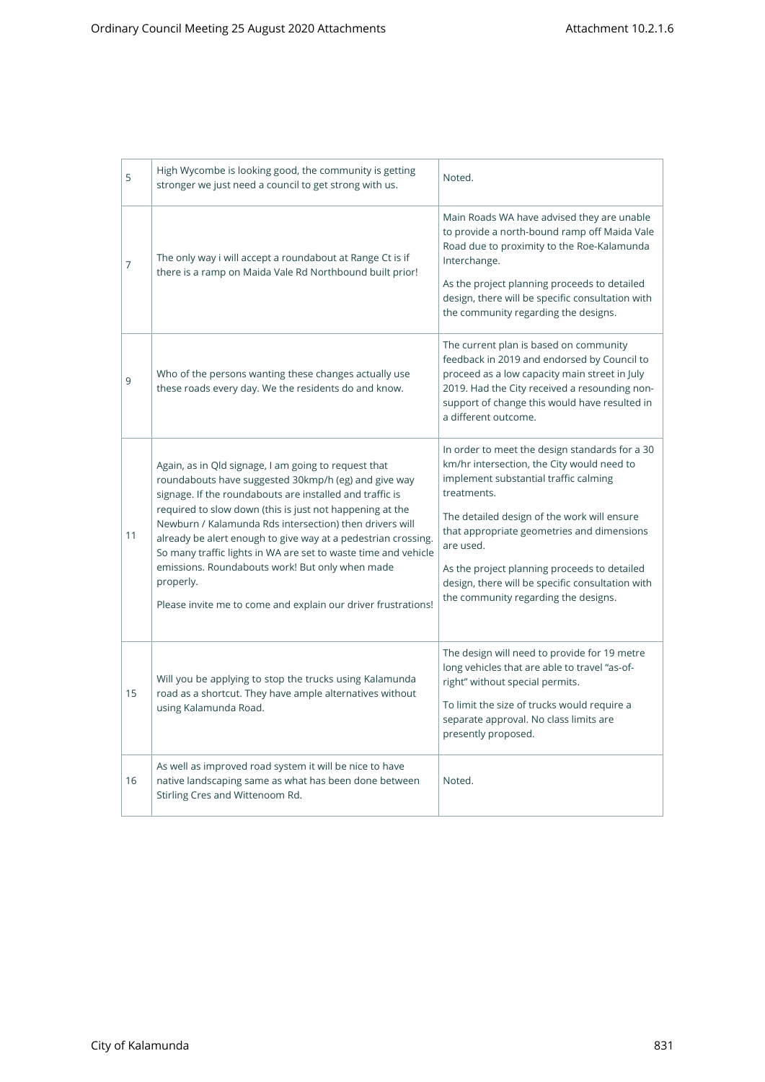| 5  | High Wycombe is looking good, the community is getting<br>stronger we just need a council to get strong with us.                                                                                                                                                                                                                                                                                                                                                                                                                                                    | Noted.                                                                                                                                                                                                                                                                                                                                                                                                     |
|----|---------------------------------------------------------------------------------------------------------------------------------------------------------------------------------------------------------------------------------------------------------------------------------------------------------------------------------------------------------------------------------------------------------------------------------------------------------------------------------------------------------------------------------------------------------------------|------------------------------------------------------------------------------------------------------------------------------------------------------------------------------------------------------------------------------------------------------------------------------------------------------------------------------------------------------------------------------------------------------------|
| 7  | The only way i will accept a roundabout at Range Ct is if<br>there is a ramp on Maida Vale Rd Northbound built prior!                                                                                                                                                                                                                                                                                                                                                                                                                                               | Main Roads WA have advised they are unable<br>to provide a north-bound ramp off Maida Vale<br>Road due to proximity to the Roe-Kalamunda<br>Interchange.<br>As the project planning proceeds to detailed<br>design, there will be specific consultation with<br>the community regarding the designs.                                                                                                       |
| 9  | Who of the persons wanting these changes actually use<br>these roads every day. We the residents do and know.                                                                                                                                                                                                                                                                                                                                                                                                                                                       | The current plan is based on community<br>feedback in 2019 and endorsed by Council to<br>proceed as a low capacity main street in July<br>2019. Had the City received a resounding non-<br>support of change this would have resulted in<br>a different outcome.                                                                                                                                           |
| 11 | Again, as in Qld signage, I am going to request that<br>roundabouts have suggested 30kmp/h (eg) and give way<br>signage. If the roundabouts are installed and traffic is<br>required to slow down (this is just not happening at the<br>Newburn / Kalamunda Rds intersection) then drivers will<br>already be alert enough to give way at a pedestrian crossing.<br>So many traffic lights in WA are set to waste time and vehicle<br>emissions. Roundabouts work! But only when made<br>properly.<br>Please invite me to come and explain our driver frustrations! | In order to meet the design standards for a 30<br>km/hr intersection, the City would need to<br>implement substantial traffic calming<br>treatments.<br>The detailed design of the work will ensure<br>that appropriate geometries and dimensions<br>are used.<br>As the project planning proceeds to detailed<br>design, there will be specific consultation with<br>the community regarding the designs. |
| 15 | Will you be applying to stop the trucks using Kalamunda<br>road as a shortcut. They have ample alternatives without<br>using Kalamunda Road.                                                                                                                                                                                                                                                                                                                                                                                                                        | The design will need to provide for 19 metre<br>long vehicles that are able to travel "as-of-<br>right" without special permits.<br>To limit the size of trucks would require a<br>separate approval. No class limits are<br>presently proposed.                                                                                                                                                           |
| 16 | As well as improved road system it will be nice to have<br>native landscaping same as what has been done between<br>Stirling Cres and Wittenoom Rd.                                                                                                                                                                                                                                                                                                                                                                                                                 | Noted.                                                                                                                                                                                                                                                                                                                                                                                                     |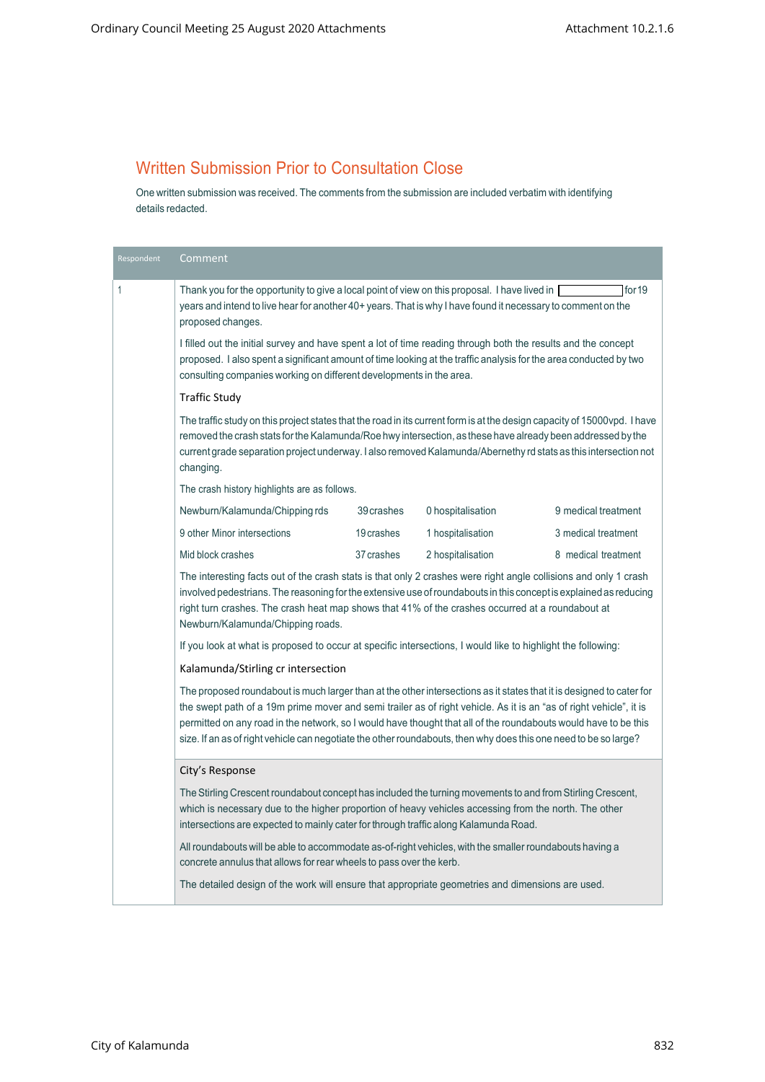## Written Submission Prior to Consultation Close

One written submission was received. The comments fromthe submission are included verbatimwith identifying details redacted.

| Respondent                                                                                                                                                                                                                                                                                                                                                                                                                                                                        | Comment                                                                                                                                                                                                                                                                                                                                                                                                                                                                                                                                                     |            |                   |                     |
|-----------------------------------------------------------------------------------------------------------------------------------------------------------------------------------------------------------------------------------------------------------------------------------------------------------------------------------------------------------------------------------------------------------------------------------------------------------------------------------|-------------------------------------------------------------------------------------------------------------------------------------------------------------------------------------------------------------------------------------------------------------------------------------------------------------------------------------------------------------------------------------------------------------------------------------------------------------------------------------------------------------------------------------------------------------|------------|-------------------|---------------------|
| 1                                                                                                                                                                                                                                                                                                                                                                                                                                                                                 | for 19<br>Thank you for the opportunity to give a local point of view on this proposal. I have lived in [<br>years and intend to live hear for another 40+ years. That is why I have found it necessary to comment on the<br>proposed changes.<br>I filled out the initial survey and have spent a lot of time reading through both the results and the concept<br>proposed. I also spent a significant amount of time looking at the traffic analysis for the area conducted by two<br>consulting companies working on different developments in the area. |            |                   |                     |
|                                                                                                                                                                                                                                                                                                                                                                                                                                                                                   |                                                                                                                                                                                                                                                                                                                                                                                                                                                                                                                                                             |            |                   |                     |
|                                                                                                                                                                                                                                                                                                                                                                                                                                                                                   | <b>Traffic Study</b>                                                                                                                                                                                                                                                                                                                                                                                                                                                                                                                                        |            |                   |                     |
|                                                                                                                                                                                                                                                                                                                                                                                                                                                                                   | The traffic study on this project states that the road in its current form is at the design capacity of 15000vpd. I have<br>removed the crash stats for the Kalamunda/Roe hwy intersection, as these have already been addressed by the<br>current grade separation project underway. I also removed Kalamunda/Abernethy rd stats as this intersection not<br>changing.                                                                                                                                                                                     |            |                   |                     |
|                                                                                                                                                                                                                                                                                                                                                                                                                                                                                   | The crash history highlights are as follows.                                                                                                                                                                                                                                                                                                                                                                                                                                                                                                                |            |                   |                     |
|                                                                                                                                                                                                                                                                                                                                                                                                                                                                                   | Newburn/Kalamunda/Chipping rds                                                                                                                                                                                                                                                                                                                                                                                                                                                                                                                              | 39 crashes | 0 hospitalisation | 9 medical treatment |
|                                                                                                                                                                                                                                                                                                                                                                                                                                                                                   | 9 other Minor intersections                                                                                                                                                                                                                                                                                                                                                                                                                                                                                                                                 | 19 crashes | 1 hospitalisation | 3 medical treatment |
|                                                                                                                                                                                                                                                                                                                                                                                                                                                                                   | Mid block crashes                                                                                                                                                                                                                                                                                                                                                                                                                                                                                                                                           | 37 crashes | 2 hospitalisation | 8 medical treatment |
|                                                                                                                                                                                                                                                                                                                                                                                                                                                                                   | The interesting facts out of the crash stats is that only 2 crashes were right angle collisions and only 1 crash<br>involved pedestrians. The reasoning for the extensive use of roundabouts in this concept is explained as reducing<br>right turn crashes. The crash heat map shows that 41% of the crashes occurred at a roundabout at<br>Newburn/Kalamunda/Chipping roads.                                                                                                                                                                              |            |                   |                     |
|                                                                                                                                                                                                                                                                                                                                                                                                                                                                                   | If you look at what is proposed to occur at specific intersections, I would like to highlight the following:                                                                                                                                                                                                                                                                                                                                                                                                                                                |            |                   |                     |
|                                                                                                                                                                                                                                                                                                                                                                                                                                                                                   | Kalamunda/Stirling cr intersection                                                                                                                                                                                                                                                                                                                                                                                                                                                                                                                          |            |                   |                     |
| The proposed roundabout is much larger than at the other intersections as it states that it is designed to cater for<br>the swept path of a 19m prime mover and semi trailer as of right vehicle. As it is an "as of right vehicle", it is<br>permitted on any road in the network, so I would have thought that all of the roundabouts would have to be this<br>size. If an as of right vehicle can negotiate the other roundabouts, then why does this one need to be so large? |                                                                                                                                                                                                                                                                                                                                                                                                                                                                                                                                                             |            |                   |                     |
|                                                                                                                                                                                                                                                                                                                                                                                                                                                                                   | City's Response                                                                                                                                                                                                                                                                                                                                                                                                                                                                                                                                             |            |                   |                     |
|                                                                                                                                                                                                                                                                                                                                                                                                                                                                                   | The Stirling Crescent roundabout concept has included the turning movements to and from Stirling Crescent,<br>which is necessary due to the higher proportion of heavy vehicles accessing from the north. The other<br>intersections are expected to mainly cater for through traffic along Kalamunda Road.                                                                                                                                                                                                                                                 |            |                   |                     |
|                                                                                                                                                                                                                                                                                                                                                                                                                                                                                   | All roundabouts will be able to accommodate as-of-right vehicles, with the smaller roundabouts having a<br>concrete annulus that allows for rear wheels to pass over the kerb.                                                                                                                                                                                                                                                                                                                                                                              |            |                   |                     |
|                                                                                                                                                                                                                                                                                                                                                                                                                                                                                   | The detailed design of the work will ensure that appropriate geometries and dimensions are used.                                                                                                                                                                                                                                                                                                                                                                                                                                                            |            |                   |                     |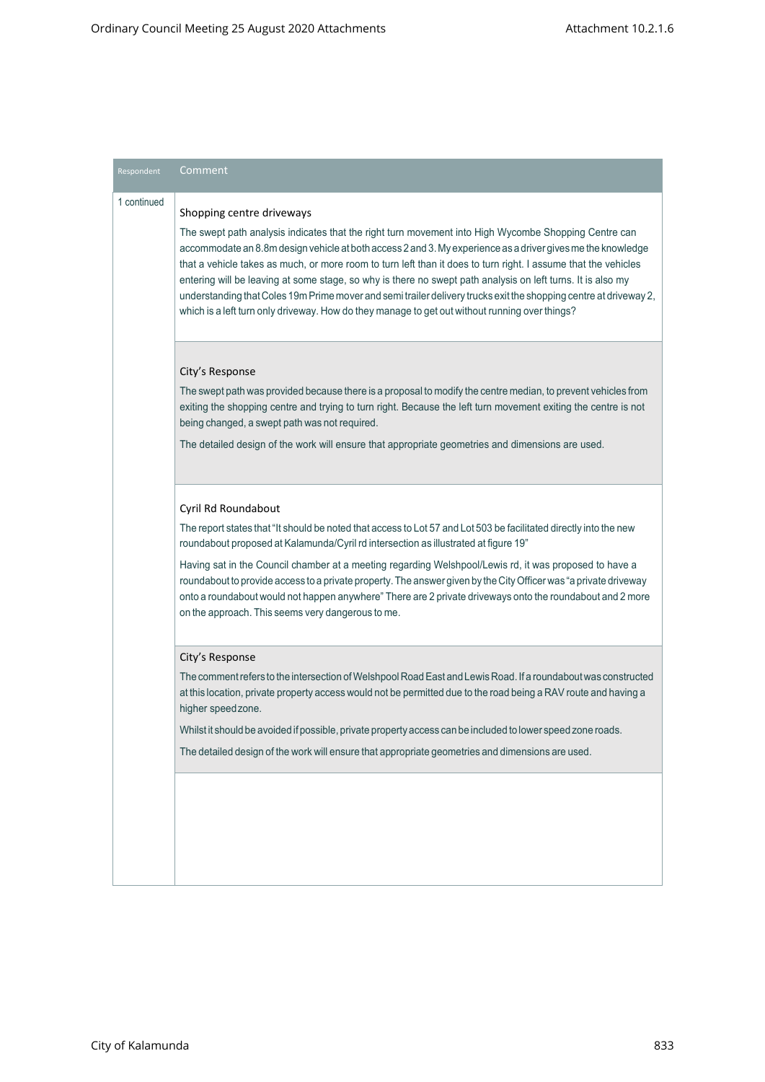| Respondent  | Comment                                                                                                                                                                                                                                                                                                                                                                                                                                                                                                                                                                                                                                                                                                  |
|-------------|----------------------------------------------------------------------------------------------------------------------------------------------------------------------------------------------------------------------------------------------------------------------------------------------------------------------------------------------------------------------------------------------------------------------------------------------------------------------------------------------------------------------------------------------------------------------------------------------------------------------------------------------------------------------------------------------------------|
| 1 continued | Shopping centre driveways<br>The swept path analysis indicates that the right turn movement into High Wycombe Shopping Centre can<br>accommodate an 8.8m design vehicle at both access 2 and 3. My experience as a driver gives me the knowledge<br>that a vehicle takes as much, or more room to turn left than it does to turn right. I assume that the vehicles<br>entering will be leaving at some stage, so why is there no swept path analysis on left turns. It is also my<br>understanding that Coles 19m Prime mover and semi trailer delivery trucks exit the shopping centre at driveway 2,<br>which is a left turn only driveway. How do they manage to get out without running over things? |
|             | City's Response<br>The swept path was provided because there is a proposal to modify the centre median, to prevent vehicles from<br>exiting the shopping centre and trying to turn right. Because the left turn movement exiting the centre is not<br>being changed, a swept path was not required.<br>The detailed design of the work will ensure that appropriate geometries and dimensions are used.                                                                                                                                                                                                                                                                                                  |
|             | Cyril Rd Roundabout<br>The report states that "It should be noted that access to Lot 57 and Lot 503 be facilitated directly into the new<br>roundabout proposed at Kalamunda/Cyril rd intersection as illustrated at figure 19"<br>Having sat in the Council chamber at a meeting regarding Welshpool/Lewis rd, it was proposed to have a<br>roundabout to provide access to a private property. The answer given by the City Officer was "a private driveway<br>onto a roundabout would not happen anywhere" There are 2 private driveways onto the roundabout and 2 more<br>on the approach. This seems very dangerous to me.                                                                          |
|             | City's Response<br>The comment refers to the intersection of Welshpool Road East and Lewis Road. If a roundabout was constructed<br>at this location, private property access would not be permitted due to the road being a RAV route and having a<br>higher speedzone.<br>Whilst it should be avoided if possible, private property access can be included to lower speed zone roads.<br>The detailed design of the work will ensure that appropriate geometries and dimensions are used.                                                                                                                                                                                                              |
|             |                                                                                                                                                                                                                                                                                                                                                                                                                                                                                                                                                                                                                                                                                                          |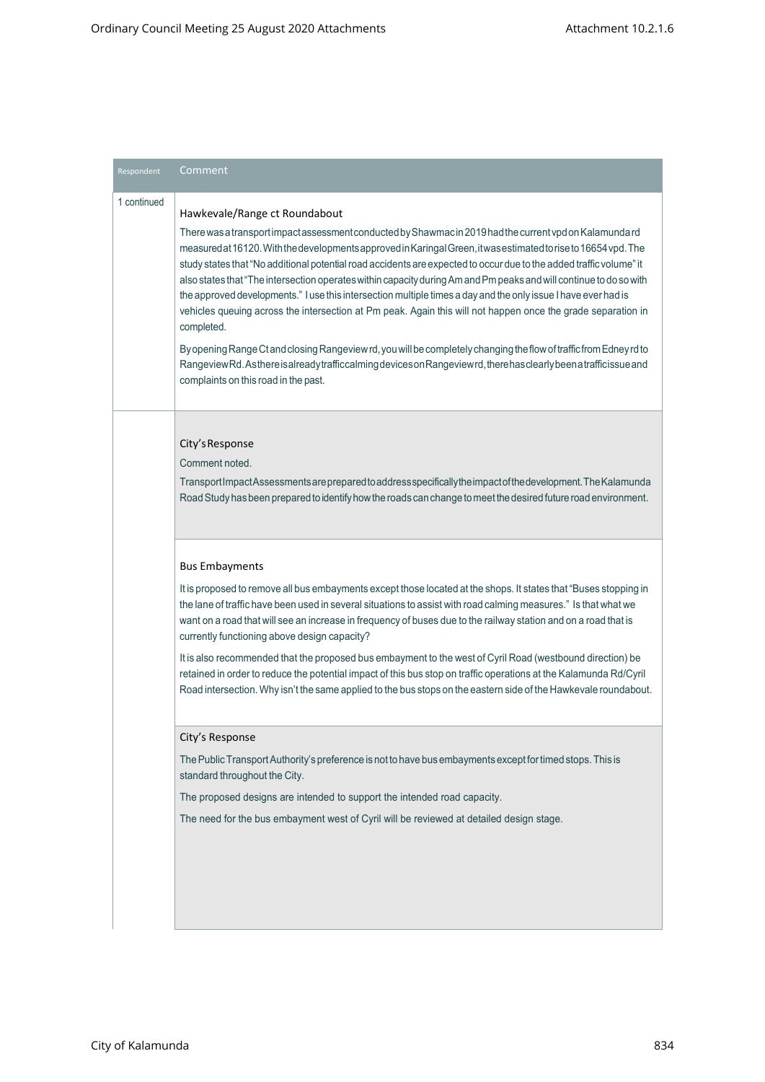| Respondent  | Comment                                                                                                                                                                                                                                                                                                                                                                                                                                                                                                                                                                                                                                                                                                                                                                                                                                                                                                                                                                                                                                    |
|-------------|--------------------------------------------------------------------------------------------------------------------------------------------------------------------------------------------------------------------------------------------------------------------------------------------------------------------------------------------------------------------------------------------------------------------------------------------------------------------------------------------------------------------------------------------------------------------------------------------------------------------------------------------------------------------------------------------------------------------------------------------------------------------------------------------------------------------------------------------------------------------------------------------------------------------------------------------------------------------------------------------------------------------------------------------|
| 1 continued | Hawkevale/Range ct Roundabout<br>There was a transport impact assessment conducted by Shawmac in 2019 had the current vpd on Kalamundard<br>measured at 16120. With the developments approved in Karingal Green, it was estimated to rise to 16654 vpd. The<br>study states that "No additional potential road accidents are expected to occur due to the added traffic volume" it<br>also states that "The intersection operates within capacity during Am and Pm peaks and will continue to do so with<br>the approved developments." I use this intersection multiple times a day and the only issue I have ever had is<br>vehicles queuing across the intersection at Pm peak. Again this will not happen once the grade separation in<br>completed.<br>By opening Range Ct and closing Rangeview rd, you will be completely changing the flow of traffic from Edney rd to<br>RangeviewRd. Asthere is already trafficcalming devices on Rangeviewrd, there has clearly been a trafficissue and<br>complaints on this road in the past. |
|             | City's Response<br>Comment noted.<br>Transport Impact Assessments are prepared to address specifically the impact of the development. The Kalamunda<br>Road Study has been prepared to identify how the roads can change to meet the desired future road environment.                                                                                                                                                                                                                                                                                                                                                                                                                                                                                                                                                                                                                                                                                                                                                                      |
|             | <b>Bus Embayments</b><br>It is proposed to remove all bus embayments except those located at the shops. It states that "Buses stopping in<br>the lane of traffic have been used in several situations to assist with road calming measures." Is that what we<br>want on a road that will see an increase in frequency of buses due to the railway station and on a road that is<br>currently functioning above design capacity?<br>It is also recommended that the proposed bus embayment to the west of Cyril Road (westbound direction) be<br>retained in order to reduce the potential impact of this bus stop on traffic operations at the Kalamunda Rd/Cyril<br>Road intersection. Why isn't the same applied to the bus stops on the eastern side of the Hawkevale roundabout.                                                                                                                                                                                                                                                       |
|             | City's Response<br>The Public Transport Authority's preference is not to have bus embayments except for timed stops. This is<br>standard throughout the City.<br>The proposed designs are intended to support the intended road capacity.<br>The need for the bus embayment west of Cyril will be reviewed at detailed design stage.                                                                                                                                                                                                                                                                                                                                                                                                                                                                                                                                                                                                                                                                                                       |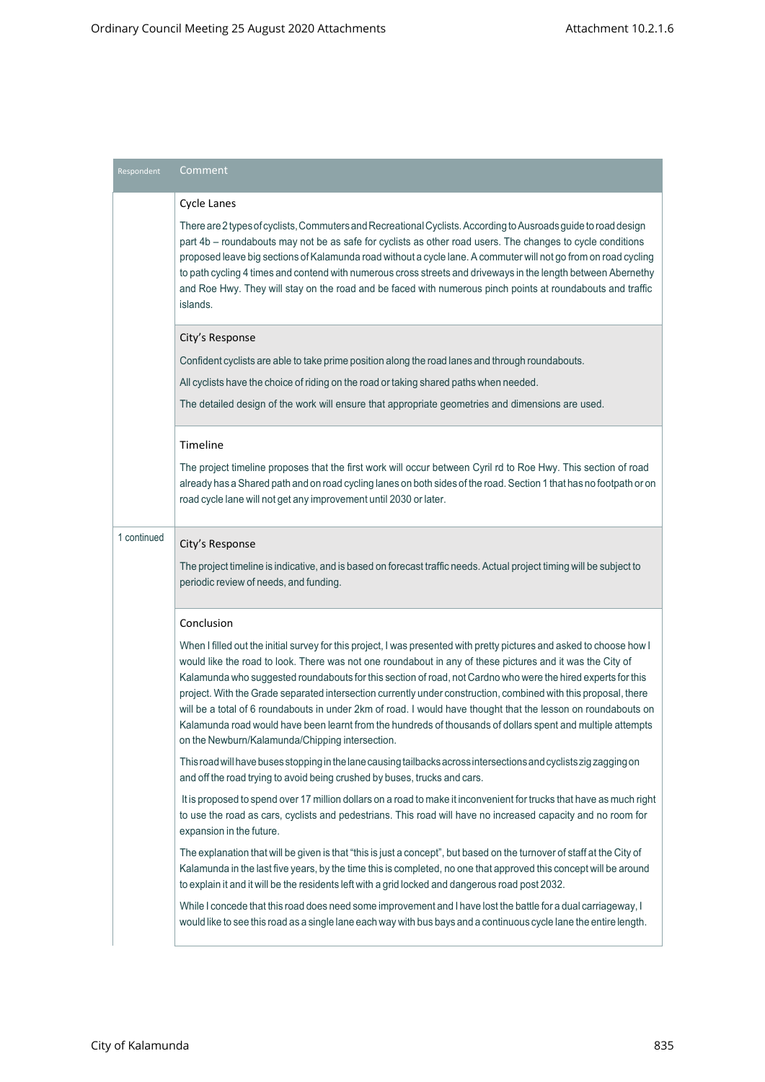| Respondent  | Comment                                                                                                                                                                                                                                                                                                                                                                                                                                                                                                                                                                                                                                                                                                                                                  |
|-------------|----------------------------------------------------------------------------------------------------------------------------------------------------------------------------------------------------------------------------------------------------------------------------------------------------------------------------------------------------------------------------------------------------------------------------------------------------------------------------------------------------------------------------------------------------------------------------------------------------------------------------------------------------------------------------------------------------------------------------------------------------------|
|             | <b>Cycle Lanes</b><br>There are 2 types of cyclists, Commuters and Recreational Cyclists. According to Ausroads guide to road design<br>part 4b - roundabouts may not be as safe for cyclists as other road users. The changes to cycle conditions<br>proposed leave big sections of Kalamunda road without a cycle lane. A commuter will not go from on road cycling<br>to path cycling 4 times and contend with numerous cross streets and driveways in the length between Abernethy<br>and Roe Hwy. They will stay on the road and be faced with numerous pinch points at roundabouts and traffic<br>islands.                                                                                                                                         |
|             | City's Response                                                                                                                                                                                                                                                                                                                                                                                                                                                                                                                                                                                                                                                                                                                                          |
|             | Confident cyclists are able to take prime position along the road lanes and through roundabouts.                                                                                                                                                                                                                                                                                                                                                                                                                                                                                                                                                                                                                                                         |
|             | All cyclists have the choice of riding on the road or taking shared paths when needed.                                                                                                                                                                                                                                                                                                                                                                                                                                                                                                                                                                                                                                                                   |
|             | The detailed design of the work will ensure that appropriate geometries and dimensions are used.                                                                                                                                                                                                                                                                                                                                                                                                                                                                                                                                                                                                                                                         |
|             | Timeline                                                                                                                                                                                                                                                                                                                                                                                                                                                                                                                                                                                                                                                                                                                                                 |
|             | The project timeline proposes that the first work will occur between Cyril rd to Roe Hwy. This section of road<br>already has a Shared path and on road cycling lanes on both sides of the road. Section 1 that has no footpath or on<br>road cycle lane will not get any improvement until 2030 or later.                                                                                                                                                                                                                                                                                                                                                                                                                                               |
| 1 continued | City's Response                                                                                                                                                                                                                                                                                                                                                                                                                                                                                                                                                                                                                                                                                                                                          |
|             | The project timeline is indicative, and is based on forecast traffic needs. Actual project timing will be subject to<br>periodic review of needs, and funding.                                                                                                                                                                                                                                                                                                                                                                                                                                                                                                                                                                                           |
|             | Conclusion                                                                                                                                                                                                                                                                                                                                                                                                                                                                                                                                                                                                                                                                                                                                               |
|             | When I filled out the initial survey for this project, I was presented with pretty pictures and asked to choose how I<br>would like the road to look. There was not one roundabout in any of these pictures and it was the City of<br>Kalamunda who suggested roundabouts for this section of road, not Cardno who were the hired experts for this<br>project. With the Grade separated intersection currently under construction, combined with this proposal, there<br>will be a total of 6 roundabouts in under 2km of road. I would have thought that the lesson on roundabouts on<br>Kalamunda road would have been learnt from the hundreds of thousands of dollars spent and multiple attempts<br>on the Newburn/Kalamunda/Chipping intersection. |
|             | This road will have buses stopping in the lane causing tailbacks across intersections and cyclists zig zagging on<br>and off the road trying to avoid being crushed by buses, trucks and cars.                                                                                                                                                                                                                                                                                                                                                                                                                                                                                                                                                           |
|             | It is proposed to spend over 17 million dollars on a road to make it inconvenient for trucks that have as much right<br>to use the road as cars, cyclists and pedestrians. This road will have no increased capacity and no room for<br>expansion in the future.                                                                                                                                                                                                                                                                                                                                                                                                                                                                                         |
|             | The explanation that will be given is that "this is just a concept", but based on the turnover of staff at the City of<br>Kalamunda in the last five years, by the time this is completed, no one that approved this concept will be around<br>to explain it and it will be the residents left with a grid locked and dangerous road post 2032.                                                                                                                                                                                                                                                                                                                                                                                                          |
|             | While I concede that this road does need some improvement and I have lost the battle for a dual carriageway, I<br>would like to see this road as a single lane each way with bus bays and a continuous cycle lane the entire length.                                                                                                                                                                                                                                                                                                                                                                                                                                                                                                                     |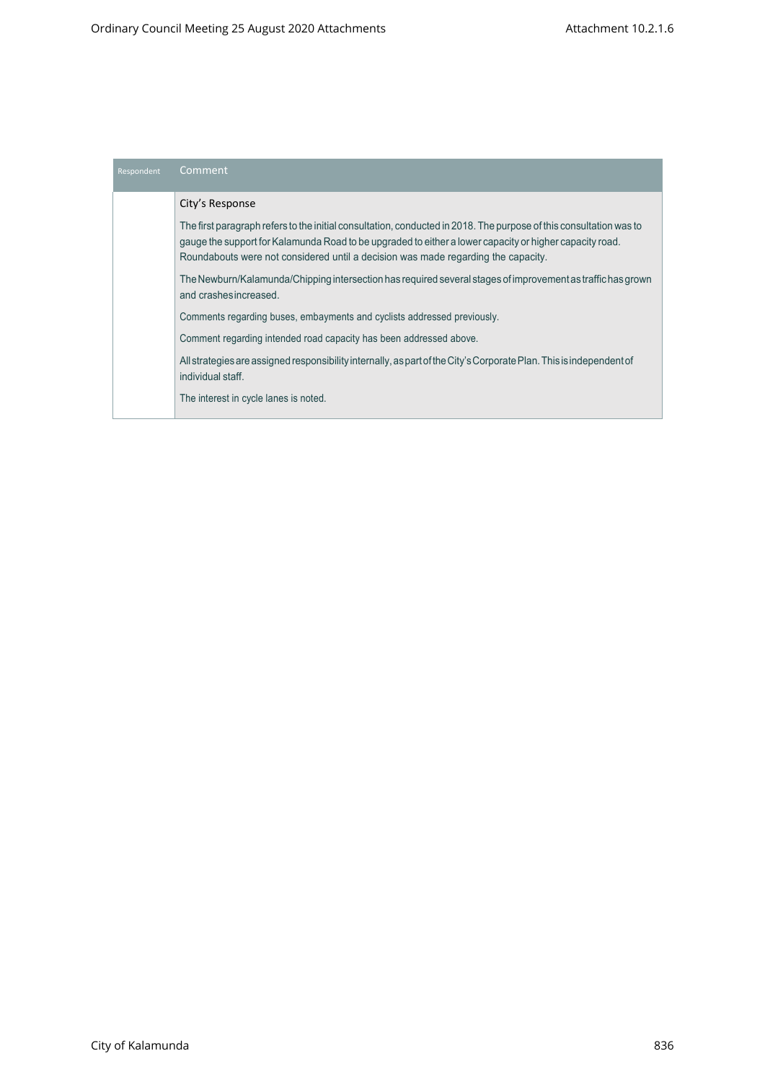| Respondent | Comment                                                                                                                                                                                                                                                                                                            |
|------------|--------------------------------------------------------------------------------------------------------------------------------------------------------------------------------------------------------------------------------------------------------------------------------------------------------------------|
|            | City's Response                                                                                                                                                                                                                                                                                                    |
|            | The first paragraph refers to the initial consultation, conducted in 2018. The purpose of this consultation was to<br>gauge the support for Kalamunda Road to be upgraded to either a lower capacity or higher capacity road.<br>Roundabouts were not considered until a decision was made regarding the capacity. |
|            | The Newburn/Kalamunda/Chipping intersection has required several stages of improvement as traffic has grown<br>and crashes increased.                                                                                                                                                                              |
|            | Comments regarding buses, embayments and cyclists addressed previously.                                                                                                                                                                                                                                            |
|            | Comment regarding intended road capacity has been addressed above.                                                                                                                                                                                                                                                 |
|            | All strategies are assigned responsibility internally, as part of the City's Corporate Plan. This is independent of<br>individual staff.                                                                                                                                                                           |
|            | The interest in cycle lanes is noted.                                                                                                                                                                                                                                                                              |